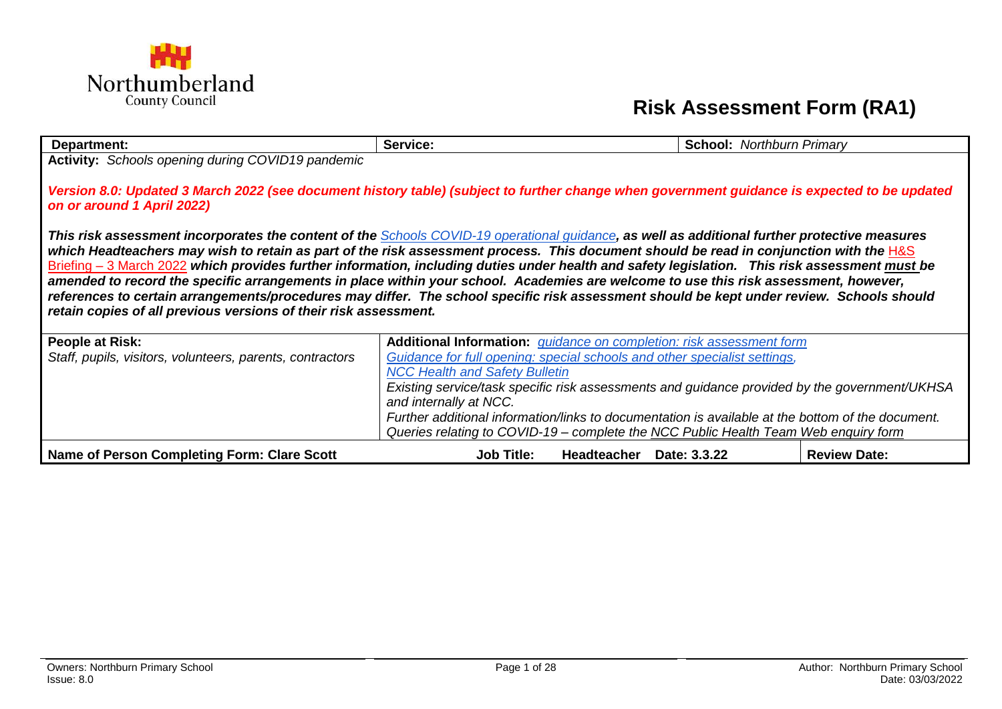

## **Risk Assessment Form (RA1)**

| Department:                                                                                                                                                                                                                                                                                                                                                                                                                                                                                                                                                                                                                                                                                                                                                                                        | Service:                                                                                          | <b>School: Northburn Primary</b> |                     |  |  |  |
|----------------------------------------------------------------------------------------------------------------------------------------------------------------------------------------------------------------------------------------------------------------------------------------------------------------------------------------------------------------------------------------------------------------------------------------------------------------------------------------------------------------------------------------------------------------------------------------------------------------------------------------------------------------------------------------------------------------------------------------------------------------------------------------------------|---------------------------------------------------------------------------------------------------|----------------------------------|---------------------|--|--|--|
| Activity: Schools opening during COVID19 pandemic                                                                                                                                                                                                                                                                                                                                                                                                                                                                                                                                                                                                                                                                                                                                                  |                                                                                                   |                                  |                     |  |  |  |
| Version 8.0: Updated 3 March 2022 (see document history table) (subject to further change when government guidance is expected to be updated<br>on or around 1 April 2022)                                                                                                                                                                                                                                                                                                                                                                                                                                                                                                                                                                                                                         |                                                                                                   |                                  |                     |  |  |  |
| This risk assessment incorporates the content of the Schools COVID-19 operational guidance, as well as additional further protective measures<br>which Headteachers may wish to retain as part of the risk assessment process. This document should be read in conjunction with the H&S<br>Briefing – 3 March 2022 which provides further information, including duties under health and safety legislation. This risk assessment must be<br>amended to record the specific arrangements in place within your school. Academies are welcome to use this risk assessment, however,<br>references to certain arrangements/procedures may differ. The school specific risk assessment should be kept under review. Schools should<br>retain copies of all previous versions of their risk assessment. |                                                                                                   |                                  |                     |  |  |  |
| People at Risk:                                                                                                                                                                                                                                                                                                                                                                                                                                                                                                                                                                                                                                                                                                                                                                                    | Additional Information: <i>guidance on completion: risk assessment form</i>                       |                                  |                     |  |  |  |
| Staff, pupils, visitors, volunteers, parents, contractors                                                                                                                                                                                                                                                                                                                                                                                                                                                                                                                                                                                                                                                                                                                                          | Guidance for full opening: special schools and other specialist settings,                         |                                  |                     |  |  |  |
|                                                                                                                                                                                                                                                                                                                                                                                                                                                                                                                                                                                                                                                                                                                                                                                                    | <b>NCC Health and Safety Bulletin</b>                                                             |                                  |                     |  |  |  |
|                                                                                                                                                                                                                                                                                                                                                                                                                                                                                                                                                                                                                                                                                                                                                                                                    | Existing service/task specific risk assessments and guidance provided by the government/UKHSA     |                                  |                     |  |  |  |
|                                                                                                                                                                                                                                                                                                                                                                                                                                                                                                                                                                                                                                                                                                                                                                                                    | and internally at NCC.                                                                            |                                  |                     |  |  |  |
|                                                                                                                                                                                                                                                                                                                                                                                                                                                                                                                                                                                                                                                                                                                                                                                                    | Further additional information/links to documentation is available at the bottom of the document. |                                  |                     |  |  |  |
|                                                                                                                                                                                                                                                                                                                                                                                                                                                                                                                                                                                                                                                                                                                                                                                                    | Queries relating to COVID-19 – complete the NCC Public Health Team Web enquiry form               |                                  |                     |  |  |  |
| Name of Person Completing Form: Clare Scott                                                                                                                                                                                                                                                                                                                                                                                                                                                                                                                                                                                                                                                                                                                                                        | <b>Job Title:</b><br>Headteacher Date: 3.3.22                                                     |                                  | <b>Review Date:</b> |  |  |  |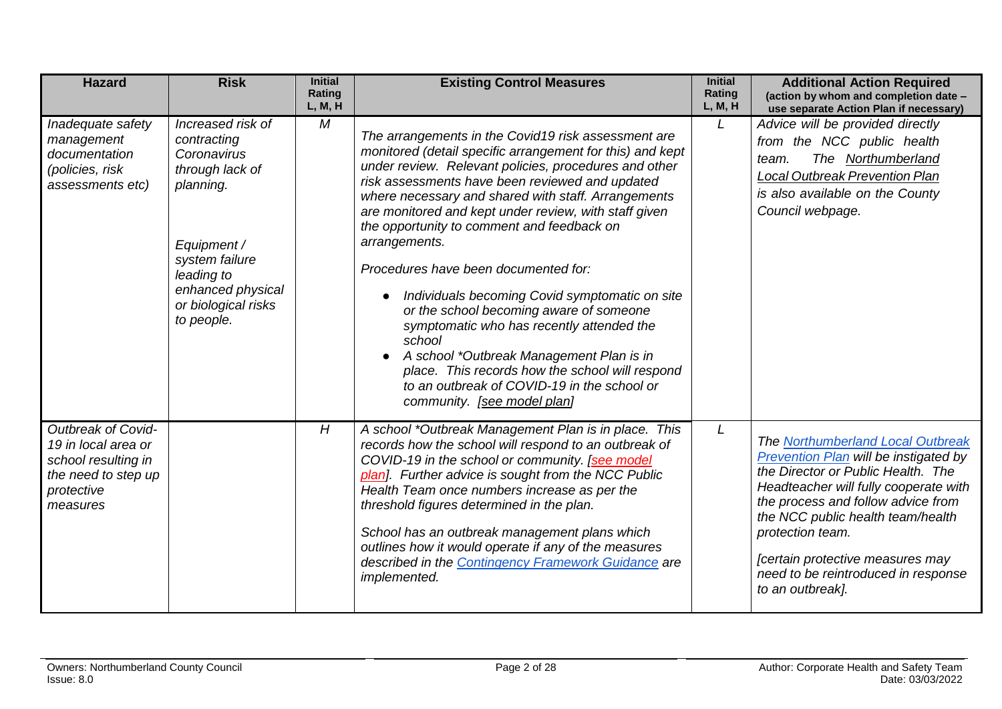<span id="page-1-1"></span><span id="page-1-0"></span>

| <b>Hazard</b>                                                                                                     | <b>Risk</b>                                                                                                                                                                              | <b>Initial</b><br>Rating<br>L, M, H | <b>Existing Control Measures</b>                                                                                                                                                                                                                                                                                                                                                                                                                                                                                                                                                                                                                                                                                                                                                                  | <b>Initial</b><br>Rating<br>L, M, H | <b>Additional Action Required</b><br>(action by whom and completion date -<br>use separate Action Plan if necessary)                                                                                                                                                                                                                                    |
|-------------------------------------------------------------------------------------------------------------------|------------------------------------------------------------------------------------------------------------------------------------------------------------------------------------------|-------------------------------------|---------------------------------------------------------------------------------------------------------------------------------------------------------------------------------------------------------------------------------------------------------------------------------------------------------------------------------------------------------------------------------------------------------------------------------------------------------------------------------------------------------------------------------------------------------------------------------------------------------------------------------------------------------------------------------------------------------------------------------------------------------------------------------------------------|-------------------------------------|---------------------------------------------------------------------------------------------------------------------------------------------------------------------------------------------------------------------------------------------------------------------------------------------------------------------------------------------------------|
| Inadequate safety<br>management<br>documentation<br>(policies, risk<br>assessments etc)                           | Increased risk of<br>contracting<br>Coronavirus<br>through lack of<br>planning.<br>Equipment /<br>system failure<br>leading to<br>enhanced physical<br>or biological risks<br>to people. | M                                   | The arrangements in the Covid19 risk assessment are<br>monitored (detail specific arrangement for this) and kept<br>under review. Relevant policies, procedures and other<br>risk assessments have been reviewed and updated<br>where necessary and shared with staff. Arrangements<br>are monitored and kept under review, with staff given<br>the opportunity to comment and feedback on<br>arrangements.<br>Procedures have been documented for:<br>Individuals becoming Covid symptomatic on site<br>$\bullet$<br>or the school becoming aware of someone<br>symptomatic who has recently attended the<br>school<br>A school *Outbreak Management Plan is in<br>place. This records how the school will respond<br>to an outbreak of COVID-19 in the school or<br>community. [see model plan] | L                                   | Advice will be provided directly<br>from the NCC public health<br>The Northumberland<br>team.<br><b>Local Outbreak Prevention Plan</b><br>is also available on the County<br>Council webpage.                                                                                                                                                           |
| Outbreak of Covid-<br>19 in local area or<br>school resulting in<br>the need to step up<br>protective<br>measures |                                                                                                                                                                                          | H                                   | A school *Outbreak Management Plan is in place. This<br>records how the school will respond to an outbreak of<br>COVID-19 in the school or community. [see model<br>plan]. Further advice is sought from the NCC Public<br>Health Team once numbers increase as per the<br>threshold figures determined in the plan.<br>School has an outbreak management plans which<br>outlines how it would operate if any of the measures<br>described in the Contingency Framework Guidance are<br>implemented.                                                                                                                                                                                                                                                                                              | L                                   | The Northumberland Local Outbreak<br>Prevention Plan will be instigated by<br>the Director or Public Health. The<br>Headteacher will fully cooperate with<br>the process and follow advice from<br>the NCC public health team/health<br>protection team.<br>[certain protective measures may<br>need to be reintroduced in response<br>to an outbreak]. |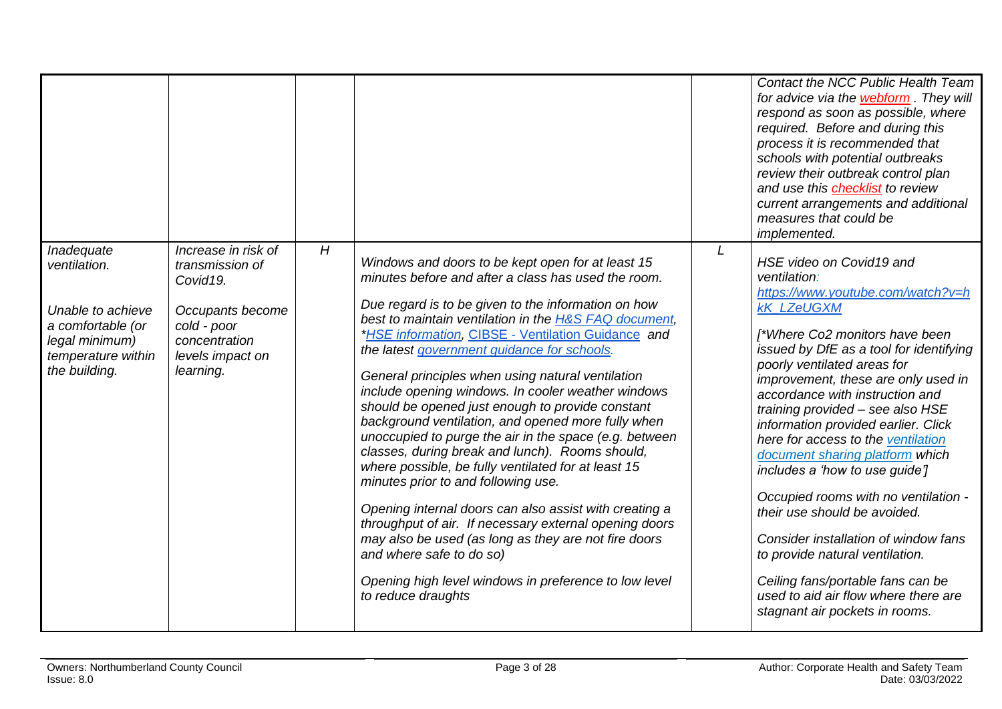<span id="page-2-0"></span>

|                                                                                                                               |                                                                                                                                                     |   |                                                                                                                                                                                                                                                                                                                                                                                                                                                                                                                                                                                                                                                                                                                                                                                                                                                                                                                                                                                                                                                      |   | Contact the NCC Public Health Team<br>for advice via the webform. They will<br>respond as soon as possible, where<br>required. Before and during this<br>process it is recommended that<br>schools with potential outbreaks<br>review their outbreak control plan<br>and use this <b>checklist</b> to review<br>current arrangements and additional<br>measures that could be<br>implemented.                                                                                                                                                                                                                                                                                                                                                    |
|-------------------------------------------------------------------------------------------------------------------------------|-----------------------------------------------------------------------------------------------------------------------------------------------------|---|------------------------------------------------------------------------------------------------------------------------------------------------------------------------------------------------------------------------------------------------------------------------------------------------------------------------------------------------------------------------------------------------------------------------------------------------------------------------------------------------------------------------------------------------------------------------------------------------------------------------------------------------------------------------------------------------------------------------------------------------------------------------------------------------------------------------------------------------------------------------------------------------------------------------------------------------------------------------------------------------------------------------------------------------------|---|--------------------------------------------------------------------------------------------------------------------------------------------------------------------------------------------------------------------------------------------------------------------------------------------------------------------------------------------------------------------------------------------------------------------------------------------------------------------------------------------------------------------------------------------------------------------------------------------------------------------------------------------------------------------------------------------------------------------------------------------------|
| Inadequate<br>ventilation.<br>Unable to achieve<br>a comfortable (or<br>legal minimum)<br>temperature within<br>the building. | Increase in risk of<br>transmission of<br>Covid <sub>19.</sub><br>Occupants become<br>cold - poor<br>concentration<br>levels impact on<br>learning. | H | Windows and doors to be kept open for at least 15<br>minutes before and after a class has used the room.<br>Due regard is to be given to the information on how<br>best to maintain ventilation in the H&S FAQ document,<br>*HSE information, CIBSE - Ventilation Guidance and<br>the latest government quidance for schools.<br>General principles when using natural ventilation<br>include opening windows. In cooler weather windows<br>should be opened just enough to provide constant<br>background ventilation, and opened more fully when<br>unoccupied to purge the air in the space (e.g. between<br>classes, during break and lunch). Rooms should,<br>where possible, be fully ventilated for at least 15<br>minutes prior to and following use.<br>Opening internal doors can also assist with creating a<br>throughput of air. If necessary external opening doors<br>may also be used (as long as they are not fire doors<br>and where safe to do so)<br>Opening high level windows in preference to low level<br>to reduce draughts | L | HSE video on Covid19 and<br>ventilation:<br>https://www.youtube.com/watch?v=h<br><b>kK LZeUGXM</b><br>[*Where Co2 monitors have been<br>issued by DfE as a tool for identifying<br>poorly ventilated areas for<br>improvement, these are only used in<br>accordance with instruction and<br>training provided - see also HSE<br>information provided earlier. Click<br>here for access to the ventilation<br>document sharing platform which<br>includes a 'how to use guide']<br>Occupied rooms with no ventilation -<br>their use should be avoided.<br>Consider installation of window fans<br>to provide natural ventilation.<br>Ceiling fans/portable fans can be<br>used to aid air flow where there are<br>stagnant air pockets in rooms. |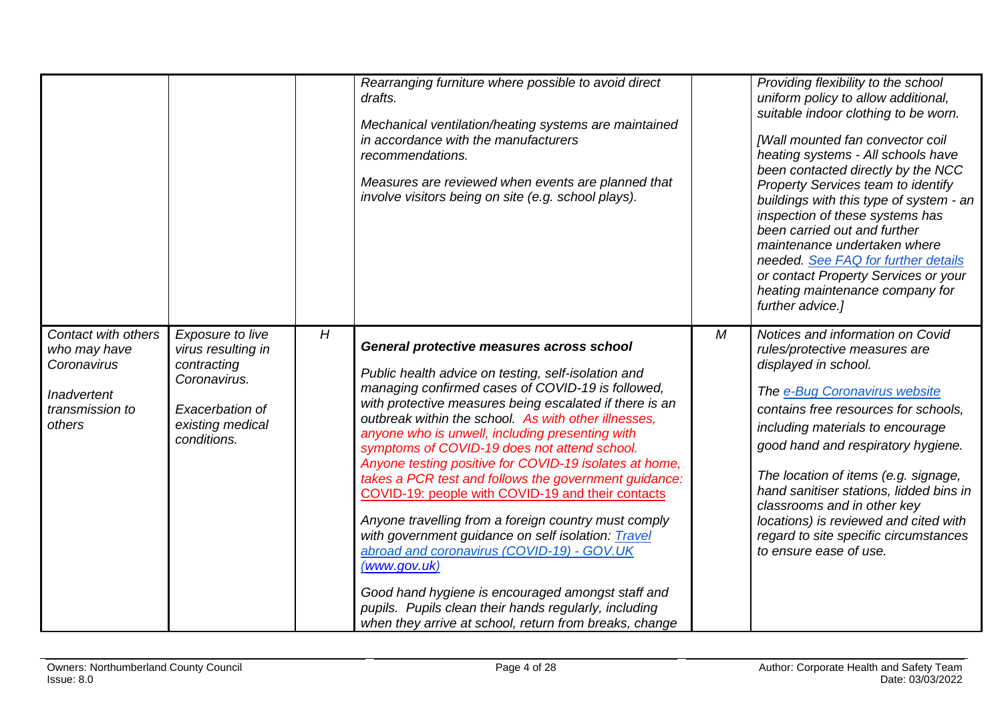<span id="page-3-0"></span>

|                                                                                                |                                                                                                                             |   | Rearranging furniture where possible to avoid direct<br>drafts.<br>Mechanical ventilation/heating systems are maintained<br>in accordance with the manufacturers<br>recommendations.<br>Measures are reviewed when events are planned that<br>involve visitors being on site (e.g. school plays).                                                                                                                                                                                                                                                                                                                                                                                                                                                                                                                                                                                                       |                | Providing flexibility to the school<br>uniform policy to allow additional,<br>suitable indoor clothing to be worn.<br>[Wall mounted fan convector coil<br>heating systems - All schools have<br>been contacted directly by the NCC<br>Property Services team to identify<br>buildings with this type of system - an<br>inspection of these systems has<br>been carried out and further<br>maintenance undertaken where<br>needed. See FAQ for further details<br>or contact Property Services or your<br>heating maintenance company for<br>further advice.] |
|------------------------------------------------------------------------------------------------|-----------------------------------------------------------------------------------------------------------------------------|---|---------------------------------------------------------------------------------------------------------------------------------------------------------------------------------------------------------------------------------------------------------------------------------------------------------------------------------------------------------------------------------------------------------------------------------------------------------------------------------------------------------------------------------------------------------------------------------------------------------------------------------------------------------------------------------------------------------------------------------------------------------------------------------------------------------------------------------------------------------------------------------------------------------|----------------|--------------------------------------------------------------------------------------------------------------------------------------------------------------------------------------------------------------------------------------------------------------------------------------------------------------------------------------------------------------------------------------------------------------------------------------------------------------------------------------------------------------------------------------------------------------|
| Contact with others<br>who may have<br>Coronavirus<br>Inadvertent<br>transmission to<br>others | Exposure to live<br>virus resulting in<br>contracting<br>Coronavirus.<br>Exacerbation of<br>existing medical<br>conditions. | H | General protective measures across school<br>Public health advice on testing, self-isolation and<br>managing confirmed cases of COVID-19 is followed,<br>with protective measures being escalated if there is an<br>outbreak within the school. As with other illnesses,<br>anyone who is unwell, including presenting with<br>symptoms of COVID-19 does not attend school.<br>Anyone testing positive for COVID-19 isolates at home,<br>takes a PCR test and follows the government guidance:<br>COVID-19: people with COVID-19 and their contacts<br>Anyone travelling from a foreign country must comply<br>with government guidance on self isolation: Travel<br>abroad and coronavirus (COVID-19) - GOV.UK<br>(www.gov.uk)<br>Good hand hygiene is encouraged amongst staff and<br>pupils. Pupils clean their hands regularly, including<br>when they arrive at school, return from breaks, change | $\overline{M}$ | Notices and information on Covid<br>rules/protective measures are<br>displayed in school.<br>The e-Bug Coronavirus website<br>contains free resources for schools.<br>including materials to encourage<br>good hand and respiratory hygiene.<br>The location of items (e.g. signage,<br>hand sanitiser stations, lidded bins in<br>classrooms and in other key<br>locations) is reviewed and cited with<br>regard to site specific circumstances<br>to ensure ease of use.                                                                                   |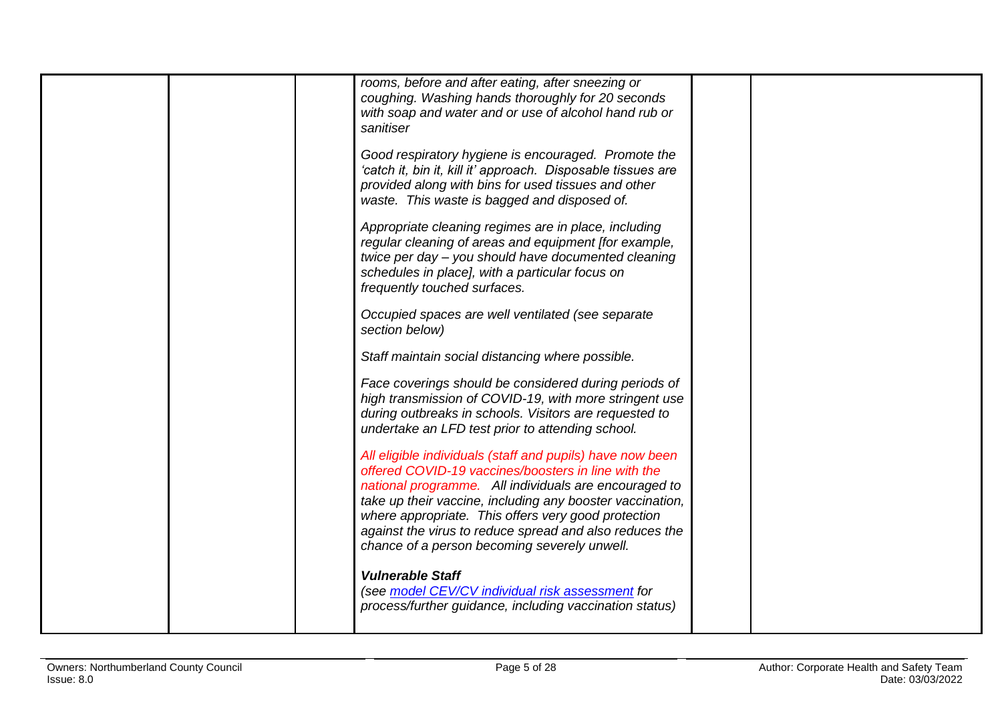| rooms, before and after eating, after sneezing or                                                                   |  |
|---------------------------------------------------------------------------------------------------------------------|--|
| coughing. Washing hands thoroughly for 20 seconds                                                                   |  |
| with soap and water and or use of alcohol hand rub or<br>sanitiser                                                  |  |
|                                                                                                                     |  |
| Good respiratory hygiene is encouraged. Promote the<br>'catch it, bin it, kill it' approach. Disposable tissues are |  |
| provided along with bins for used tissues and other                                                                 |  |
| waste. This waste is bagged and disposed of.                                                                        |  |
| Appropriate cleaning regimes are in place, including                                                                |  |
| regular cleaning of areas and equipment [for example,<br>twice per day - you should have documented cleaning        |  |
| schedules in place], with a particular focus on                                                                     |  |
| frequently touched surfaces.                                                                                        |  |
| Occupied spaces are well ventilated (see separate                                                                   |  |
| section below)                                                                                                      |  |
| Staff maintain social distancing where possible.                                                                    |  |
| Face coverings should be considered during periods of                                                               |  |
| high transmission of COVID-19, with more stringent use<br>during outbreaks in schools. Visitors are requested to    |  |
| undertake an LFD test prior to attending school.                                                                    |  |
| All eligible individuals (staff and pupils) have now been                                                           |  |
| offered COVID-19 vaccines/boosters in line with the<br>national programme. All individuals are encouraged to        |  |
| take up their vaccine, including any booster vaccination,                                                           |  |
| where appropriate. This offers very good protection<br>against the virus to reduce spread and also reduces the      |  |
| chance of a person becoming severely unwell.                                                                        |  |
| <b>Vulnerable Staff</b>                                                                                             |  |
| (see model CEV/CV individual risk assessment for                                                                    |  |
| process/further guidance, including vaccination status)                                                             |  |
|                                                                                                                     |  |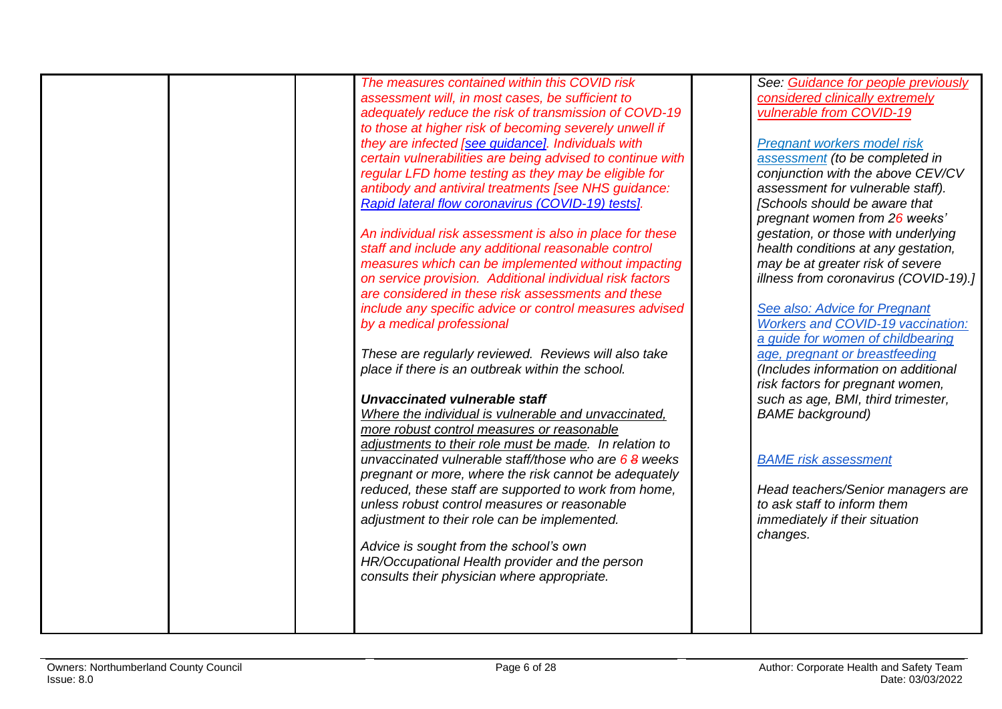| The measures contained within this COVID risk              | See: Guidance for people previously      |
|------------------------------------------------------------|------------------------------------------|
| assessment will, in most cases, be sufficient to           | considered clinically extremely          |
| adequately reduce the risk of transmission of COVD-19      | vulnerable from COVID-19                 |
| to those at higher risk of becoming severely unwell if     |                                          |
| they are infected [see guidance]. Individuals with         | Pregnant workers model risk              |
| certain vulnerabilities are being advised to continue with | assessment (to be completed in           |
| regular LFD home testing as they may be eligible for       | conjunction with the above CEV/CV        |
| antibody and antiviral treatments [see NHS guidance:       | assessment for vulnerable staff).        |
| Rapid lateral flow coronavirus (COVID-19) tests].          | [Schools should be aware that            |
|                                                            | pregnant women from 26 weeks'            |
|                                                            |                                          |
| An individual risk assessment is also in place for these   | gestation, or those with underlying      |
| staff and include any additional reasonable control        | health conditions at any gestation,      |
| measures which can be implemented without impacting        | may be at greater risk of severe         |
| on service provision. Additional individual risk factors   | illness from coronavirus (COVID-19).]    |
| are considered in these risk assessments and these         |                                          |
| include any specific advice or control measures advised    | See also: Advice for Pregnant            |
| by a medical professional                                  | <b>Workers and COVID-19 vaccination:</b> |
|                                                            | a quide for women of childbearing        |
| These are regularly reviewed. Reviews will also take       | age, pregnant or breastfeeding           |
| place if there is an outbreak within the school.           | (Includes information on additional      |
|                                                            | risk factors for pregnant women,         |
| Unvaccinated vulnerable staff                              | such as age, BMI, third trimester,       |
| Where the individual is vulnerable and unvaccinated,       | <b>BAME</b> background)                  |
| more robust control measures or reasonable                 |                                          |
| adjustments to their role must be made. In relation to     |                                          |
| unvaccinated vulnerable staff/those who are $68$ weeks     | <b>BAME</b> risk assessment              |
| pregnant or more, where the risk cannot be adequately      |                                          |
| reduced, these staff are supported to work from home,      | Head teachers/Senior managers are        |
| unless robust control measures or reasonable               | to ask staff to inform them              |
| adjustment to their role can be implemented.               | immediately if their situation           |
|                                                            | changes.                                 |
| Advice is sought from the school's own                     |                                          |
| HR/Occupational Health provider and the person             |                                          |
| consults their physician where appropriate.                |                                          |
|                                                            |                                          |
|                                                            |                                          |
|                                                            |                                          |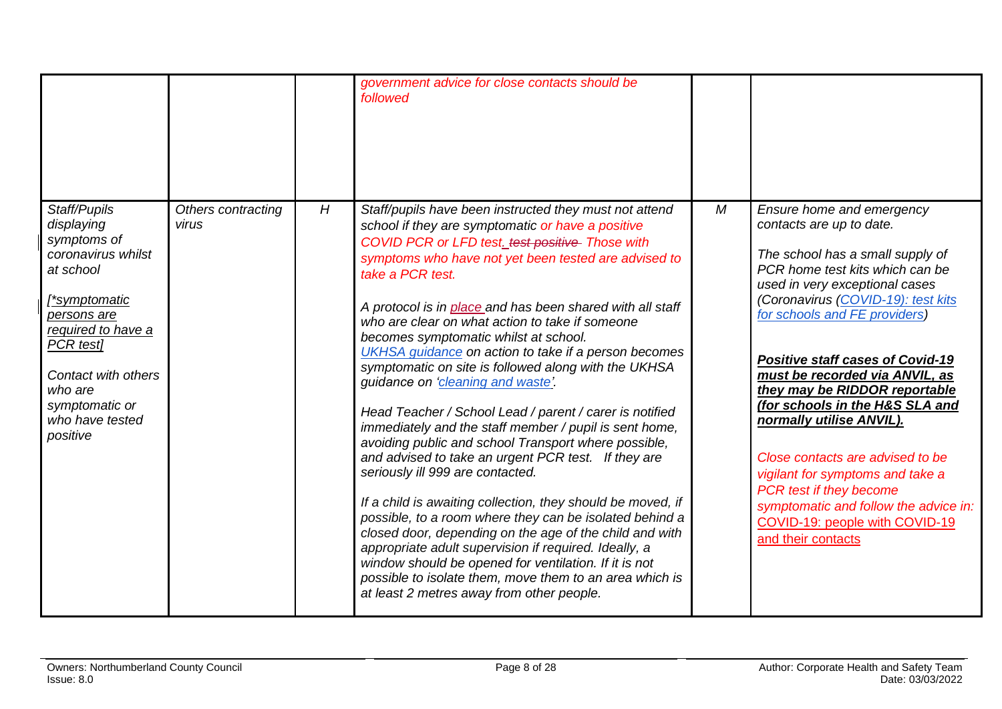<span id="page-7-0"></span>

|                                                                                                                                                                                                                                    |                             |   | government advice for close contacts should be<br>followed                                                                                                                                                                                                                                                                                                                                                                                                                                                                                                                                                                                                                                                                                                                                                                                                                                                                                                                                                                                                                                                                                                                                                                                      |   |                                                                                                                                                                                                                                                                                                                                                                                                                                                                                                                                                                                                                        |
|------------------------------------------------------------------------------------------------------------------------------------------------------------------------------------------------------------------------------------|-----------------------------|---|-------------------------------------------------------------------------------------------------------------------------------------------------------------------------------------------------------------------------------------------------------------------------------------------------------------------------------------------------------------------------------------------------------------------------------------------------------------------------------------------------------------------------------------------------------------------------------------------------------------------------------------------------------------------------------------------------------------------------------------------------------------------------------------------------------------------------------------------------------------------------------------------------------------------------------------------------------------------------------------------------------------------------------------------------------------------------------------------------------------------------------------------------------------------------------------------------------------------------------------------------|---|------------------------------------------------------------------------------------------------------------------------------------------------------------------------------------------------------------------------------------------------------------------------------------------------------------------------------------------------------------------------------------------------------------------------------------------------------------------------------------------------------------------------------------------------------------------------------------------------------------------------|
| Staff/Pupils<br>displaying<br>symptoms of<br>coronavirus whilst<br>at school<br>[*symptomatic<br>persons are<br>required to have a<br>PCR test]<br>Contact with others<br>who are<br>symptomatic or<br>who have tested<br>positive | Others contracting<br>virus | H | Staff/pupils have been instructed they must not attend<br>school if they are symptomatic or have a positive<br>COVID PCR or LFD test. test positive Those with<br>symptoms who have not yet been tested are advised to<br>take a PCR test.<br>A protocol is in place and has been shared with all staff<br>who are clear on what action to take if someone<br>becomes symptomatic whilst at school.<br>UKHSA guidance on action to take if a person becomes<br>symptomatic on site is followed along with the UKHSA<br>guidance on 'cleaning and waste'.<br>Head Teacher / School Lead / parent / carer is notified<br>immediately and the staff member / pupil is sent home,<br>avoiding public and school Transport where possible,<br>and advised to take an urgent PCR test. If they are<br>seriously ill 999 are contacted.<br>If a child is awaiting collection, they should be moved, if<br>possible, to a room where they can be isolated behind a<br>closed door, depending on the age of the child and with<br>appropriate adult supervision if required. Ideally, a<br>window should be opened for ventilation. If it is not<br>possible to isolate them, move them to an area which is<br>at least 2 metres away from other people. | M | Ensure home and emergency<br>contacts are up to date.<br>The school has a small supply of<br>PCR home test kits which can be<br>used in very exceptional cases<br>(Coronavirus (COVID-19): test kits<br>for schools and FE providers)<br><b>Positive staff cases of Covid-19</b><br>must be recorded via ANVIL, as<br>they may be RIDDOR reportable<br>(for schools in the H&S SLA and<br>normally utilise ANVIL).<br>Close contacts are advised to be<br>vigilant for symptoms and take a<br>PCR test if they become<br>symptomatic and follow the advice in:<br>COVID-19: people with COVID-19<br>and their contacts |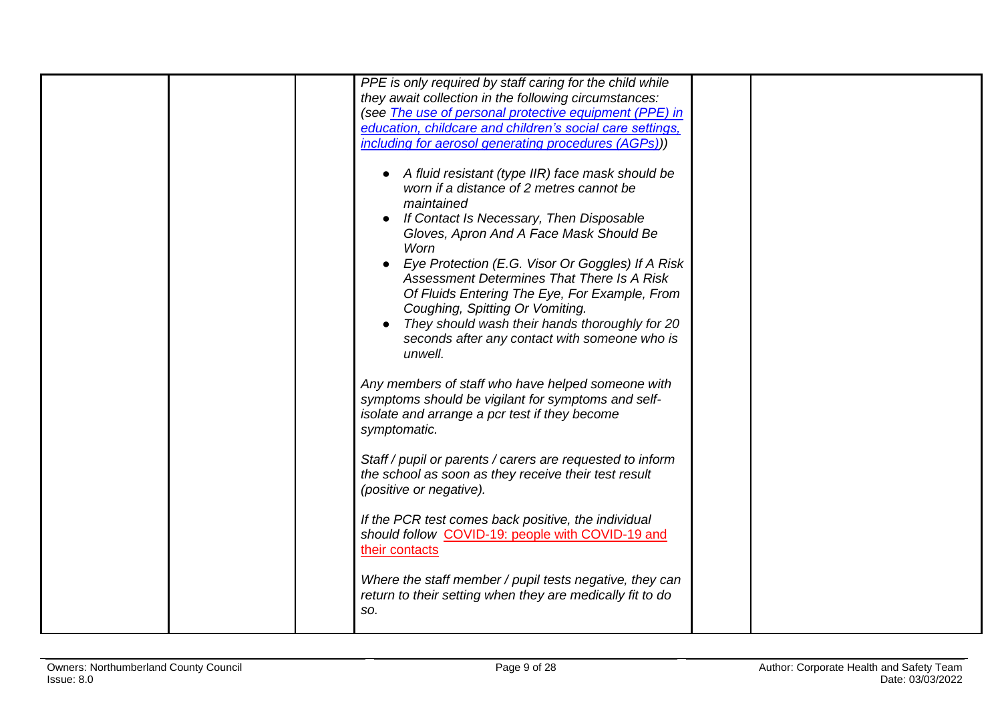|  | PPE is only required by staff caring for the child while                                                                                                                                                                                                                                                                                                                                                                                                                                                        |  |
|--|-----------------------------------------------------------------------------------------------------------------------------------------------------------------------------------------------------------------------------------------------------------------------------------------------------------------------------------------------------------------------------------------------------------------------------------------------------------------------------------------------------------------|--|
|  | they await collection in the following circumstances:                                                                                                                                                                                                                                                                                                                                                                                                                                                           |  |
|  | (see The use of personal protective equipment (PPE) in                                                                                                                                                                                                                                                                                                                                                                                                                                                          |  |
|  | education, childcare and children's social care settings,                                                                                                                                                                                                                                                                                                                                                                                                                                                       |  |
|  | including for aerosol generating procedures (AGPs)))                                                                                                                                                                                                                                                                                                                                                                                                                                                            |  |
|  | • A fluid resistant (type IIR) face mask should be<br>worn if a distance of 2 metres cannot be<br>maintained<br>If Contact Is Necessary, Then Disposable<br>Gloves, Apron And A Face Mask Should Be<br>Worn<br>Eye Protection (E.G. Visor Or Goggles) If A Risk<br>Assessment Determines That There Is A Risk<br>Of Fluids Entering The Eye, For Example, From<br>Coughing, Spitting Or Vomiting.<br>They should wash their hands thoroughly for 20<br>seconds after any contact with someone who is<br>unwell. |  |
|  | Any members of staff who have helped someone with<br>symptoms should be vigilant for symptoms and self-<br>isolate and arrange a pcr test if they become<br>symptomatic.                                                                                                                                                                                                                                                                                                                                        |  |
|  | Staff / pupil or parents / carers are requested to inform<br>the school as soon as they receive their test result<br>(positive or negative).                                                                                                                                                                                                                                                                                                                                                                    |  |
|  | If the PCR test comes back positive, the individual<br>should follow COVID-19: people with COVID-19 and<br>their contacts                                                                                                                                                                                                                                                                                                                                                                                       |  |
|  | Where the staff member / pupil tests negative, they can<br>return to their setting when they are medically fit to do<br>SO.                                                                                                                                                                                                                                                                                                                                                                                     |  |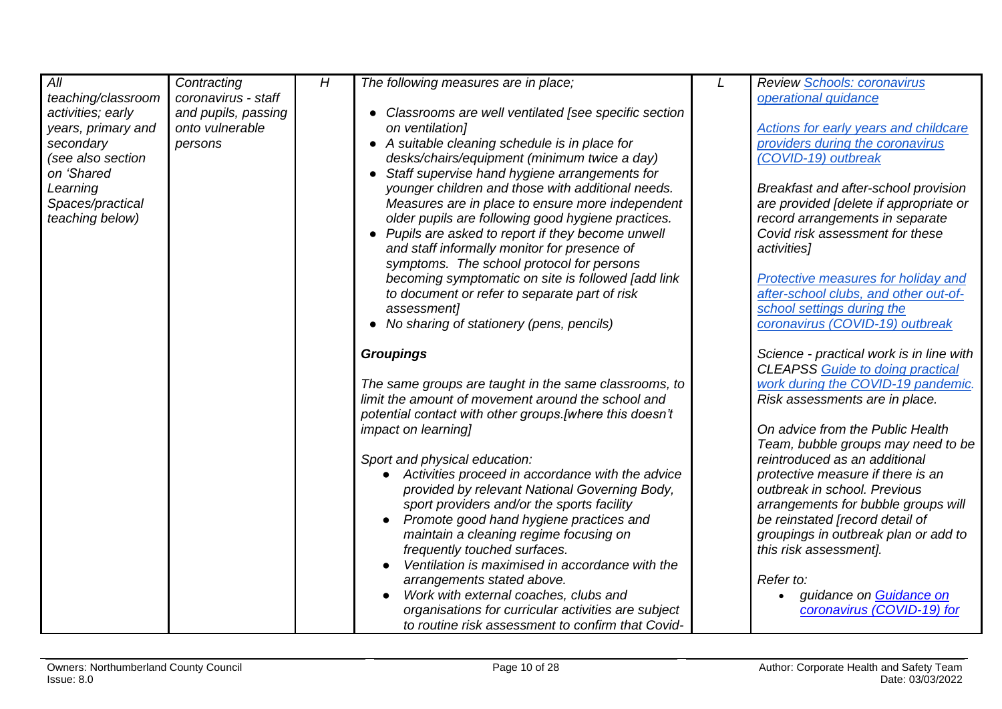<span id="page-9-0"></span>

| All                | Contracting         | H | The following measures are in place;                     | Review Schools: coronavirus              |
|--------------------|---------------------|---|----------------------------------------------------------|------------------------------------------|
| teaching/classroom | coronavirus - staff |   |                                                          | operational quidance                     |
| activities; early  | and pupils, passing |   | Classrooms are well ventilated [see specific section     |                                          |
| years, primary and | onto vulnerable     |   | on ventilation]                                          | Actions for early years and childcare    |
| secondary          | persons             |   | • A suitable cleaning schedule is in place for           | providers during the coronavirus         |
| (see also section  |                     |   | desks/chairs/equipment (minimum twice a day)             | (COVID-19) outbreak                      |
| on 'Shared         |                     |   | • Staff supervise hand hygiene arrangements for          |                                          |
| Learning           |                     |   | younger children and those with additional needs.        | Breakfast and after-school provision     |
| Spaces/practical   |                     |   | Measures are in place to ensure more independent         | are provided [delete if appropriate or   |
| teaching below)    |                     |   | older pupils are following good hygiene practices.       | record arrangements in separate          |
|                    |                     |   | • Pupils are asked to report if they become unwell       | Covid risk assessment for these          |
|                    |                     |   |                                                          |                                          |
|                    |                     |   | and staff informally monitor for presence of             | activities]                              |
|                    |                     |   | symptoms. The school protocol for persons                |                                          |
|                    |                     |   | becoming symptomatic on site is followed [add link]      | Protective measures for holiday and      |
|                    |                     |   | to document or refer to separate part of risk            | after-school clubs, and other out-of-    |
|                    |                     |   | assessment]                                              | school settings during the               |
|                    |                     |   | • No sharing of stationery (pens, pencils)               | coronavirus (COVID-19) outbreak          |
|                    |                     |   | <b>Groupings</b>                                         | Science - practical work is in line with |
|                    |                     |   |                                                          | <b>CLEAPSS Guide to doing practical</b>  |
|                    |                     |   | The same groups are taught in the same classrooms, to    | work during the COVID-19 pandemic.       |
|                    |                     |   | limit the amount of movement around the school and       | Risk assessments are in place.           |
|                    |                     |   | potential contact with other groups. [where this doesn't |                                          |
|                    |                     |   | <i>impact on learning]</i>                               | On advice from the Public Health         |
|                    |                     |   |                                                          |                                          |
|                    |                     |   |                                                          | Team, bubble groups may need to be       |
|                    |                     |   | Sport and physical education:                            | reintroduced as an additional            |
|                    |                     |   | Activities proceed in accordance with the advice         | protective measure if there is an        |
|                    |                     |   | provided by relevant National Governing Body,            | outbreak in school. Previous             |
|                    |                     |   | sport providers and/or the sports facility               | arrangements for bubble groups will      |
|                    |                     |   | Promote good hand hygiene practices and                  | be reinstated [record detail of          |
|                    |                     |   | maintain a cleaning regime focusing on                   | groupings in outbreak plan or add to     |
|                    |                     |   | frequently touched surfaces.                             | this risk assessment].                   |
|                    |                     |   | Ventilation is maximised in accordance with the          |                                          |
|                    |                     |   | arrangements stated above.                               | Refer to:                                |
|                    |                     |   | Work with external coaches, clubs and                    | guidance on Guidance on                  |
|                    |                     |   | organisations for curricular activities are subject      | coronavirus (COVID-19) for               |
|                    |                     |   | to routine risk assessment to confirm that Covid-        |                                          |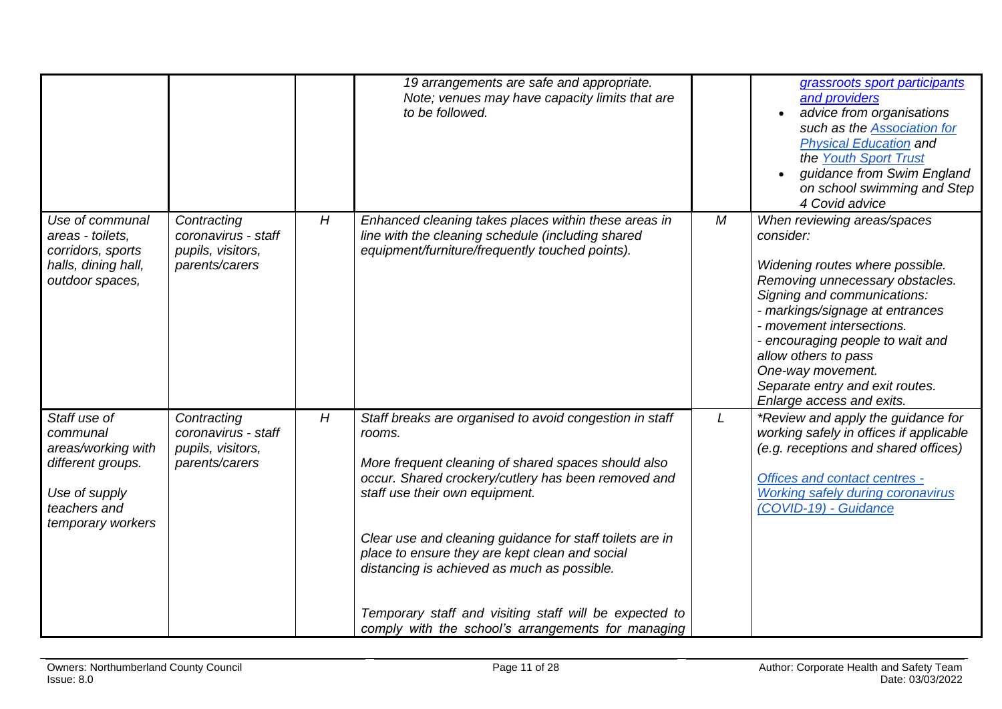|                                                                                                                           |                                                                           |   | 19 arrangements are safe and appropriate.<br>Note; venues may have capacity limits that are<br>to be followed.                                                                                                                                                                                                                                                                                                                                                                                 |          | grassroots sport participants<br>and providers<br>advice from organisations<br>such as the <b>Association</b> for<br><b>Physical Education and</b><br>the Youth Sport Trust<br>guidance from Swim England<br>on school swimming and Step<br>4 Covid advice                                                                                                     |
|---------------------------------------------------------------------------------------------------------------------------|---------------------------------------------------------------------------|---|------------------------------------------------------------------------------------------------------------------------------------------------------------------------------------------------------------------------------------------------------------------------------------------------------------------------------------------------------------------------------------------------------------------------------------------------------------------------------------------------|----------|----------------------------------------------------------------------------------------------------------------------------------------------------------------------------------------------------------------------------------------------------------------------------------------------------------------------------------------------------------------|
| Use of communal<br>areas - toilets,<br>corridors, sports<br>halls, dining hall,<br>outdoor spaces,                        | Contracting<br>coronavirus - staff<br>pupils, visitors,<br>parents/carers | H | Enhanced cleaning takes places within these areas in<br>line with the cleaning schedule (including shared<br>equipment/furniture/frequently touched points).                                                                                                                                                                                                                                                                                                                                   | $\cal M$ | When reviewing areas/spaces<br>consider:<br>Widening routes where possible.<br>Removing unnecessary obstacles.<br>Signing and communications:<br>- markings/signage at entrances<br>- movement intersections.<br>- encouraging people to wait and<br>allow others to pass<br>One-way movement.<br>Separate entry and exit routes.<br>Enlarge access and exits. |
| Staff use of<br>communal<br>areas/working with<br>different groups.<br>Use of supply<br>teachers and<br>temporary workers | Contracting<br>coronavirus - staff<br>pupils, visitors,<br>parents/carers | H | Staff breaks are organised to avoid congestion in staff<br>rooms.<br>More frequent cleaning of shared spaces should also<br>occur. Shared crockery/cutlery has been removed and<br>staff use their own equipment.<br>Clear use and cleaning guidance for staff toilets are in<br>place to ensure they are kept clean and social<br>distancing is achieved as much as possible.<br>Temporary staff and visiting staff will be expected to<br>comply with the school's arrangements for managing | L        | *Review and apply the guidance for<br>working safely in offices if applicable<br>(e.g. receptions and shared offices)<br><b>Offices and contact centres -</b><br><b>Working safely during coronavirus</b><br>(COVID-19) - Guidance                                                                                                                             |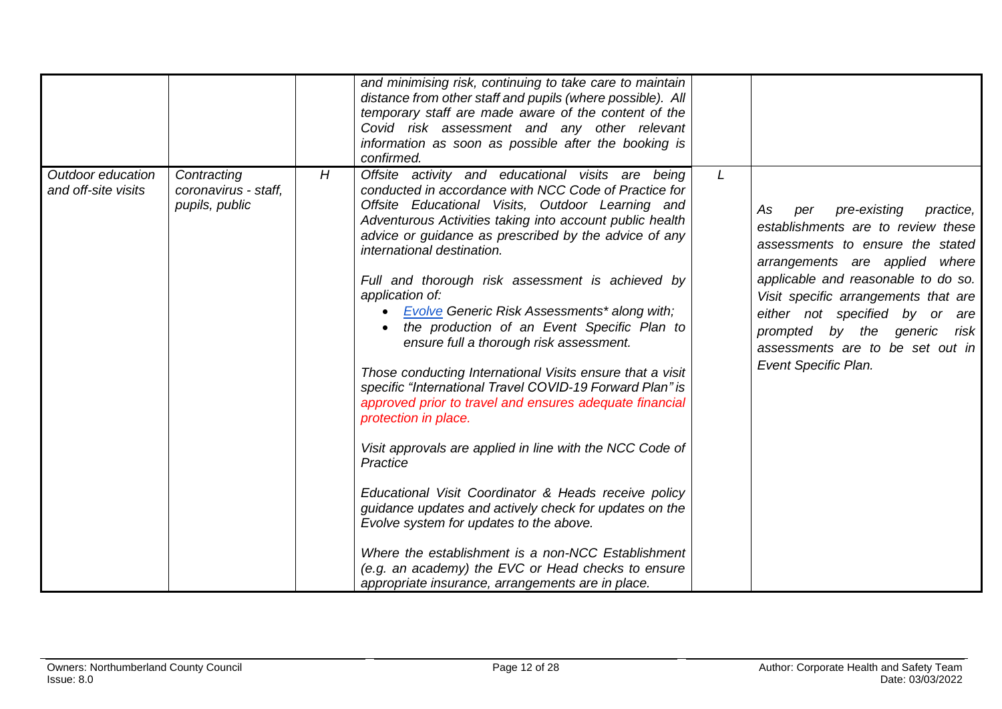<span id="page-11-0"></span>

|                                          |                                                       |   | and minimising risk, continuing to take care to maintain<br>distance from other staff and pupils (where possible). All<br>temporary staff are made aware of the content of the<br>Covid risk assessment and any other relevant                                                                                                                                                                                                                                                                                                                                                                                                                                                                                                                                                                                                                                                                                                                                                                                                                                                                                               |              |                                                                                                                                                                                                                                                                                                                                                                 |
|------------------------------------------|-------------------------------------------------------|---|------------------------------------------------------------------------------------------------------------------------------------------------------------------------------------------------------------------------------------------------------------------------------------------------------------------------------------------------------------------------------------------------------------------------------------------------------------------------------------------------------------------------------------------------------------------------------------------------------------------------------------------------------------------------------------------------------------------------------------------------------------------------------------------------------------------------------------------------------------------------------------------------------------------------------------------------------------------------------------------------------------------------------------------------------------------------------------------------------------------------------|--------------|-----------------------------------------------------------------------------------------------------------------------------------------------------------------------------------------------------------------------------------------------------------------------------------------------------------------------------------------------------------------|
| Outdoor education<br>and off-site visits | Contracting<br>coronavirus - staff,<br>pupils, public | H | information as soon as possible after the booking is<br>confirmed.<br>Offsite activity and educational visits are being<br>conducted in accordance with NCC Code of Practice for<br>Offsite Educational Visits, Outdoor Learning and<br>Adventurous Activities taking into account public health<br>advice or guidance as prescribed by the advice of any<br>international destination.<br>Full and thorough risk assessment is achieved by<br>application of:<br>Evolve Generic Risk Assessments* along with;<br>$\bullet$<br>the production of an Event Specific Plan to<br>ensure full a thorough risk assessment.<br>Those conducting International Visits ensure that a visit<br>specific "International Travel COVID-19 Forward Plan" is<br>approved prior to travel and ensures adequate financial<br>protection in place.<br>Visit approvals are applied in line with the NCC Code of<br>Practice<br>Educational Visit Coordinator & Heads receive policy<br>guidance updates and actively check for updates on the<br>Evolve system for updates to the above.<br>Where the establishment is a non-NCC Establishment | $\mathsf{L}$ | pre-existing<br>As<br>practice,<br>per<br>establishments are to review these<br>assessments to ensure the stated<br>arrangements are applied where<br>applicable and reasonable to do so.<br>Visit specific arrangements that are<br>either not specified by or are<br>prompted by the generic risk<br>assessments are to be set out in<br>Event Specific Plan. |
|                                          |                                                       |   | (e.g. an academy) the EVC or Head checks to ensure<br>appropriate insurance, arrangements are in place.                                                                                                                                                                                                                                                                                                                                                                                                                                                                                                                                                                                                                                                                                                                                                                                                                                                                                                                                                                                                                      |              |                                                                                                                                                                                                                                                                                                                                                                 |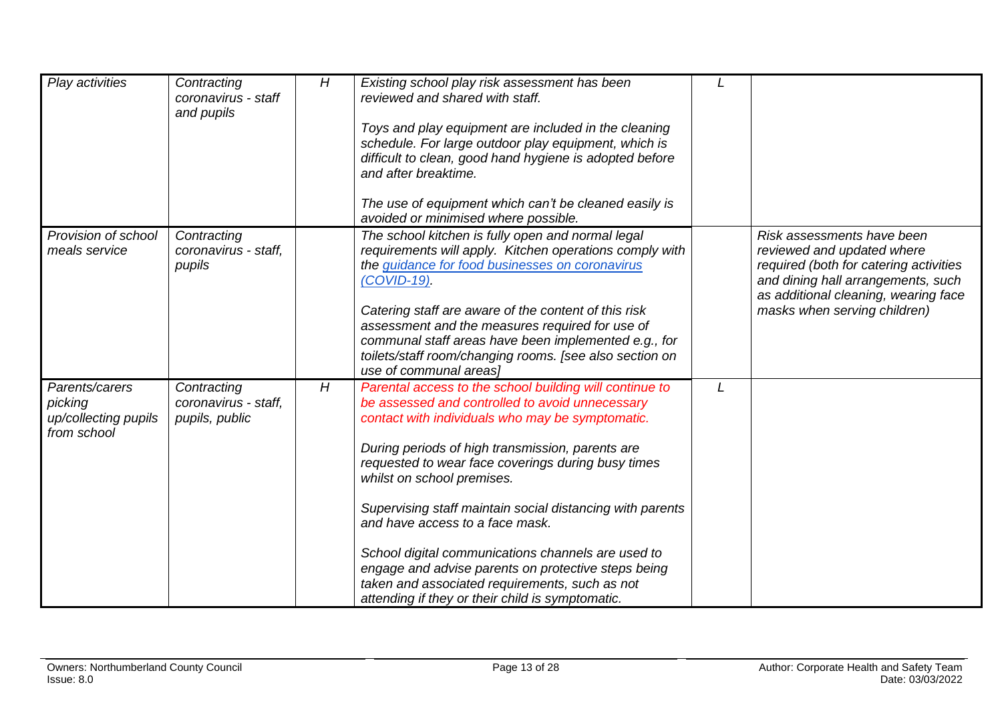<span id="page-12-0"></span>

| Play activities                                                  | Contracting<br>coronavirus - staff<br>and pupils      | H | Existing school play risk assessment has been<br>reviewed and shared with staff.<br>Toys and play equipment are included in the cleaning<br>schedule. For large outdoor play equipment, which is<br>difficult to clean, good hand hygiene is adopted before<br>and after breaktime.<br>The use of equipment which can't be cleaned easily is<br>avoided or minimised where possible.                                                                                                                                                                                                                                      |   |                                                                                                                                                                                                                  |
|------------------------------------------------------------------|-------------------------------------------------------|---|---------------------------------------------------------------------------------------------------------------------------------------------------------------------------------------------------------------------------------------------------------------------------------------------------------------------------------------------------------------------------------------------------------------------------------------------------------------------------------------------------------------------------------------------------------------------------------------------------------------------------|---|------------------------------------------------------------------------------------------------------------------------------------------------------------------------------------------------------------------|
| Provision of school<br>meals service                             | Contracting<br>coronavirus - staff,<br>pupils         |   | The school kitchen is fully open and normal legal<br>requirements will apply. Kitchen operations comply with<br>the guidance for food businesses on coronavirus<br>$(COVID-19)$ .<br>Catering staff are aware of the content of this risk<br>assessment and the measures required for use of<br>communal staff areas have been implemented e.g., for<br>toilets/staff room/changing rooms. [see also section on<br>use of communal areas)                                                                                                                                                                                 |   | Risk assessments have been<br>reviewed and updated where<br>required (both for catering activities<br>and dining hall arrangements, such<br>as additional cleaning, wearing face<br>masks when serving children) |
| Parents/carers<br>picking<br>up/collecting pupils<br>from school | Contracting<br>coronavirus - staff,<br>pupils, public | H | Parental access to the school building will continue to<br>be assessed and controlled to avoid unnecessary<br>contact with individuals who may be symptomatic.<br>During periods of high transmission, parents are<br>requested to wear face coverings during busy times<br>whilst on school premises.<br>Supervising staff maintain social distancing with parents<br>and have access to a face mask.<br>School digital communications channels are used to<br>engage and advise parents on protective steps being<br>taken and associated requirements, such as not<br>attending if they or their child is symptomatic. | L |                                                                                                                                                                                                                  |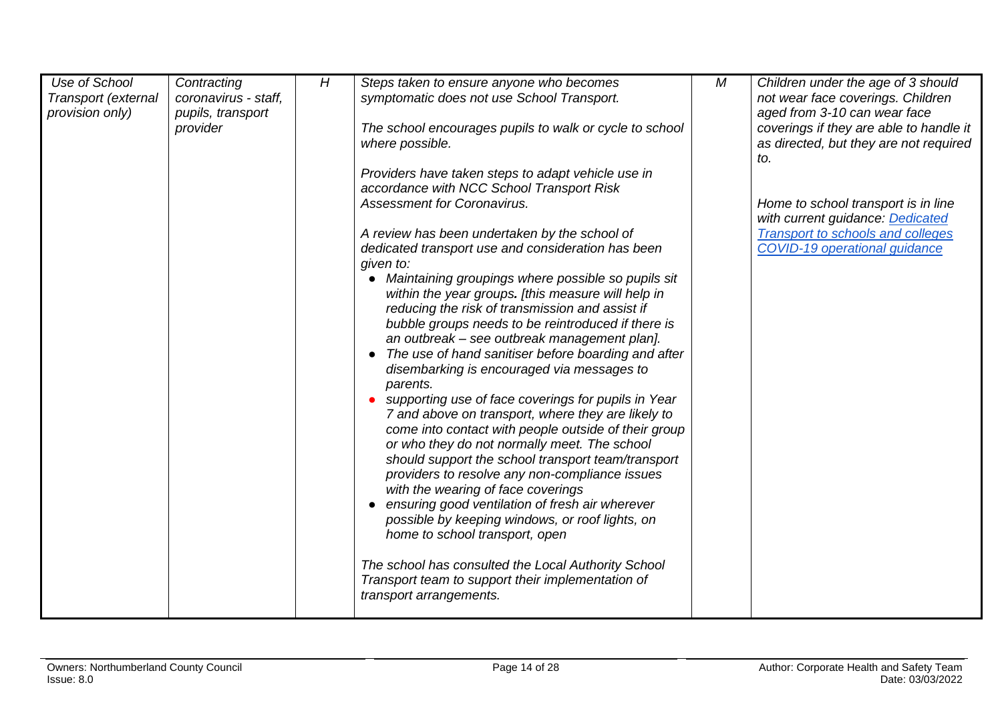| Use of School<br>Transport (external<br>provision only) | Contracting<br>coronavirus - staff,<br>pupils, transport<br>provider | H | Steps taken to ensure anyone who becomes<br>symptomatic does not use School Transport.<br>The school encourages pupils to walk or cycle to school<br>where possible.<br>Providers have taken steps to adapt vehicle use in<br>accordance with NCC School Transport Risk<br><b>Assessment for Coronavirus.</b><br>A review has been undertaken by the school of<br>dedicated transport use and consideration has been<br>given to:<br>Maintaining groupings where possible so pupils sit<br>within the year groups. [this measure will help in<br>reducing the risk of transmission and assist if<br>bubble groups needs to be reintroduced if there is<br>an outbreak - see outbreak management plan].<br>The use of hand sanitiser before boarding and after<br>disembarking is encouraged via messages to<br>parents.<br>supporting use of face coverings for pupils in Year<br>7 and above on transport, where they are likely to<br>come into contact with people outside of their group<br>or who they do not normally meet. The school<br>should support the school transport team/transport<br>providers to resolve any non-compliance issues<br>with the wearing of face coverings<br>ensuring good ventilation of fresh air wherever<br>possible by keeping windows, or roof lights, on<br>home to school transport, open<br>The school has consulted the Local Authority School<br>Transport team to support their implementation of<br>transport arrangements. | М | Children under the age of 3 should<br>not wear face coverings. Children<br>aged from 3-10 can wear face<br>coverings if they are able to handle it<br>as directed, but they are not required<br>to.<br>Home to school transport is in line<br>with current guidance: Dedicated<br><b>Transport to schools and colleges</b><br>COVID-19 operational guidance |
|---------------------------------------------------------|----------------------------------------------------------------------|---|---------------------------------------------------------------------------------------------------------------------------------------------------------------------------------------------------------------------------------------------------------------------------------------------------------------------------------------------------------------------------------------------------------------------------------------------------------------------------------------------------------------------------------------------------------------------------------------------------------------------------------------------------------------------------------------------------------------------------------------------------------------------------------------------------------------------------------------------------------------------------------------------------------------------------------------------------------------------------------------------------------------------------------------------------------------------------------------------------------------------------------------------------------------------------------------------------------------------------------------------------------------------------------------------------------------------------------------------------------------------------------------------------------------------------------------------------------------------------|---|-------------------------------------------------------------------------------------------------------------------------------------------------------------------------------------------------------------------------------------------------------------------------------------------------------------------------------------------------------------|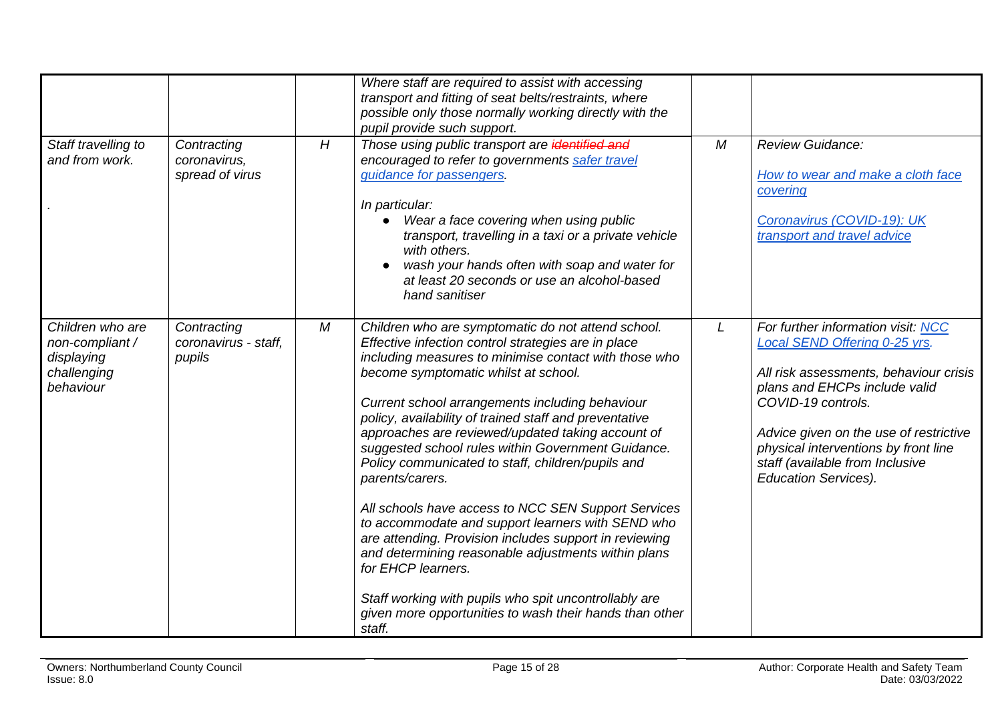| Staff travelling to<br>and from work.                                         | Contracting<br>coronavirus,<br>spread of virus | H | Where staff are required to assist with accessing<br>transport and fitting of seat belts/restraints, where<br>possible only those normally working directly with the<br>pupil provide such support.<br>Those using public transport are identified and<br>encouraged to refer to governments safer travel<br>guidance for passengers.<br>In particular:<br>Wear a face covering when using public<br>transport, travelling in a taxi or a private vehicle<br>with others.<br>wash your hands often with soap and water for<br>at least 20 seconds or use an alcohol-based<br>hand sanitiser                                                                                                                                                                                                                                                                                                 | M | Review Guidance:<br>How to wear and make a cloth face<br>covering<br>Coronavirus (COVID-19): UK<br>transport and travel advice                                                                                                                                                                                           |
|-------------------------------------------------------------------------------|------------------------------------------------|---|---------------------------------------------------------------------------------------------------------------------------------------------------------------------------------------------------------------------------------------------------------------------------------------------------------------------------------------------------------------------------------------------------------------------------------------------------------------------------------------------------------------------------------------------------------------------------------------------------------------------------------------------------------------------------------------------------------------------------------------------------------------------------------------------------------------------------------------------------------------------------------------------|---|--------------------------------------------------------------------------------------------------------------------------------------------------------------------------------------------------------------------------------------------------------------------------------------------------------------------------|
| Children who are<br>non-compliant /<br>displaying<br>challenging<br>behaviour | Contracting<br>coronavirus - staff.<br>pupils  | М | Children who are symptomatic do not attend school.<br>Effective infection control strategies are in place<br>including measures to minimise contact with those who<br>become symptomatic whilst at school.<br>Current school arrangements including behaviour<br>policy, availability of trained staff and preventative<br>approaches are reviewed/updated taking account of<br>suggested school rules within Government Guidance.<br>Policy communicated to staff, children/pupils and<br>parents/carers.<br>All schools have access to NCC SEN Support Services<br>to accommodate and support learners with SEND who<br>are attending. Provision includes support in reviewing<br>and determining reasonable adjustments within plans<br>for EHCP learners.<br>Staff working with pupils who spit uncontrollably are<br>given more opportunities to wash their hands than other<br>staff. | L | For further information visit: NCC<br>Local SEND Offering 0-25 yrs.<br>All risk assessments, behaviour crisis<br>plans and EHCPs include valid<br>COVID-19 controls.<br>Advice given on the use of restrictive<br>physical interventions by front line<br>staff (available from Inclusive<br><b>Education Services).</b> |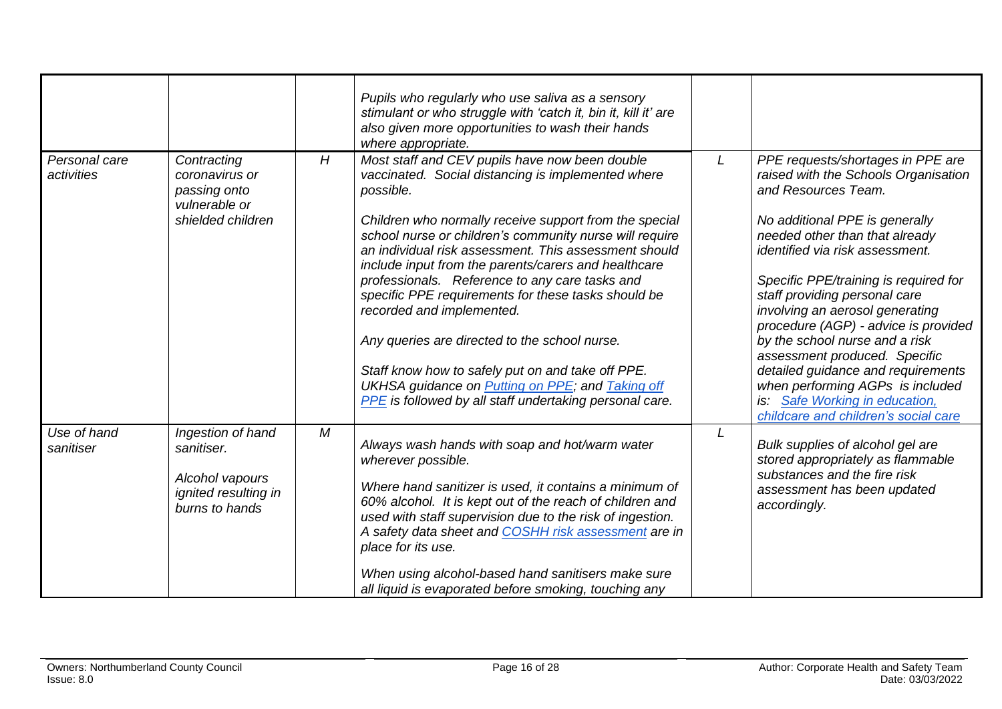|                             |                                                                                              |   | Pupils who regularly who use saliva as a sensory<br>stimulant or who struggle with 'catch it, bin it, kill it' are<br>also given more opportunities to wash their hands<br>where appropriate.                                                                                                                                                                                                                                                                                                                                                                                                                                                                                                                                            |   |                                                                                                                                                                                                                                                                                                                                                                                                                                                                                                                                                                                 |
|-----------------------------|----------------------------------------------------------------------------------------------|---|------------------------------------------------------------------------------------------------------------------------------------------------------------------------------------------------------------------------------------------------------------------------------------------------------------------------------------------------------------------------------------------------------------------------------------------------------------------------------------------------------------------------------------------------------------------------------------------------------------------------------------------------------------------------------------------------------------------------------------------|---|---------------------------------------------------------------------------------------------------------------------------------------------------------------------------------------------------------------------------------------------------------------------------------------------------------------------------------------------------------------------------------------------------------------------------------------------------------------------------------------------------------------------------------------------------------------------------------|
| Personal care<br>activities | Contracting<br>coronavirus or<br>passing onto<br>vulnerable or<br>shielded children          | H | Most staff and CEV pupils have now been double<br>vaccinated. Social distancing is implemented where<br>possible.<br>Children who normally receive support from the special<br>school nurse or children's community nurse will require<br>an individual risk assessment. This assessment should<br>include input from the parents/carers and healthcare<br>professionals. Reference to any care tasks and<br>specific PPE requirements for these tasks should be<br>recorded and implemented.<br>Any queries are directed to the school nurse.<br>Staff know how to safely put on and take off PPE.<br>UKHSA guidance on <b>Putting on PPE</b> ; and <b>Taking off</b><br><b>PPE</b> is followed by all staff undertaking personal care. | L | PPE requests/shortages in PPE are<br>raised with the Schools Organisation<br>and Resources Team.<br>No additional PPE is generally<br>needed other than that already<br>identified via risk assessment.<br>Specific PPE/training is required for<br>staff providing personal care<br>involving an aerosol generating<br>procedure (AGP) - advice is provided<br>by the school nurse and a risk<br>assessment produced. Specific<br>detailed guidance and requirements<br>when performing AGPs is included<br>Safe Working in education,<br>childcare and children's social care |
| Use of hand<br>sanitiser    | Ingestion of hand<br>sanitiser.<br>Alcohol vapours<br>ignited resulting in<br>burns to hands | M | Always wash hands with soap and hot/warm water<br>wherever possible.<br>Where hand sanitizer is used, it contains a minimum of<br>60% alcohol. It is kept out of the reach of children and<br>used with staff supervision due to the risk of ingestion.<br>A safety data sheet and COSHH risk assessment are in<br>place for its use.<br>When using alcohol-based hand sanitisers make sure<br>all liquid is evaporated before smoking, touching any                                                                                                                                                                                                                                                                                     | L | Bulk supplies of alcohol gel are<br>stored appropriately as flammable<br>substances and the fire risk<br>assessment has been updated<br>accordingly.                                                                                                                                                                                                                                                                                                                                                                                                                            |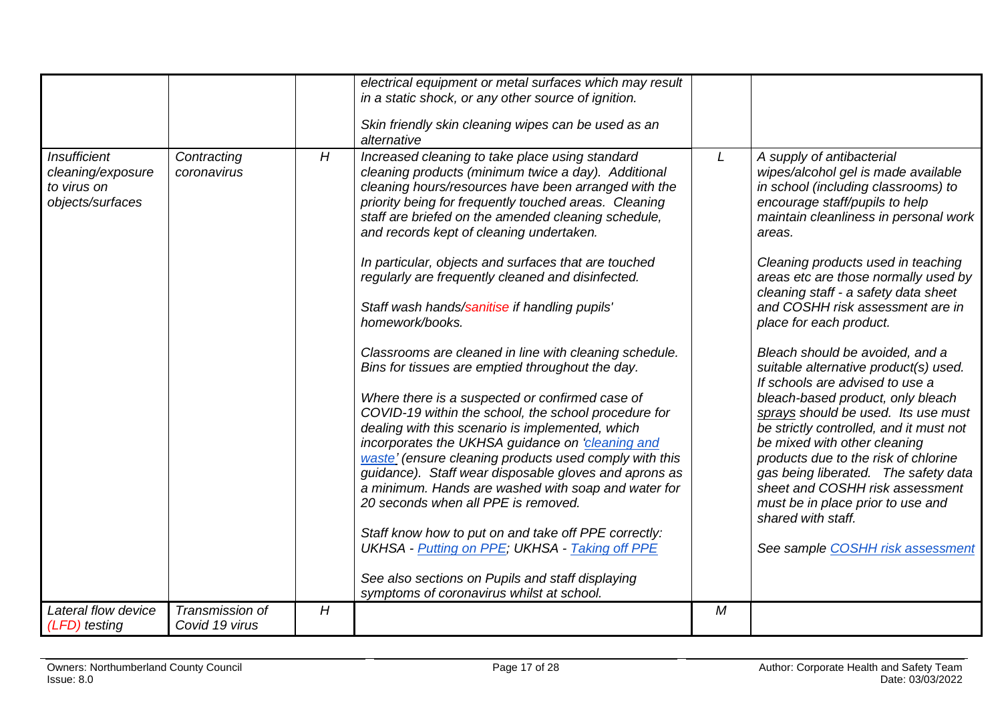<span id="page-16-0"></span>

|                                                                             |                                   |                | electrical equipment or metal surfaces which may result<br>in a static shock, or any other source of ignition.                                                                                                                                                                                                                                                                                                                                                                                                                                                                                                                                                                                                                                                                                                                                                                                                                                                                                                         |                |                                                                                                                                                                                                                                                                                                                                                                                                                                                                                                                                                                                                                                                                                                                                                                            |
|-----------------------------------------------------------------------------|-----------------------------------|----------------|------------------------------------------------------------------------------------------------------------------------------------------------------------------------------------------------------------------------------------------------------------------------------------------------------------------------------------------------------------------------------------------------------------------------------------------------------------------------------------------------------------------------------------------------------------------------------------------------------------------------------------------------------------------------------------------------------------------------------------------------------------------------------------------------------------------------------------------------------------------------------------------------------------------------------------------------------------------------------------------------------------------------|----------------|----------------------------------------------------------------------------------------------------------------------------------------------------------------------------------------------------------------------------------------------------------------------------------------------------------------------------------------------------------------------------------------------------------------------------------------------------------------------------------------------------------------------------------------------------------------------------------------------------------------------------------------------------------------------------------------------------------------------------------------------------------------------------|
|                                                                             |                                   |                | Skin friendly skin cleaning wipes can be used as an<br>alternative                                                                                                                                                                                                                                                                                                                                                                                                                                                                                                                                                                                                                                                                                                                                                                                                                                                                                                                                                     |                |                                                                                                                                                                                                                                                                                                                                                                                                                                                                                                                                                                                                                                                                                                                                                                            |
| <b>Insufficient</b><br>cleaning/exposure<br>to virus on<br>objects/surfaces | Contracting<br>coronavirus        | H              | Increased cleaning to take place using standard<br>cleaning products (minimum twice a day). Additional<br>cleaning hours/resources have been arranged with the<br>priority being for frequently touched areas. Cleaning<br>staff are briefed on the amended cleaning schedule,<br>and records kept of cleaning undertaken.<br>In particular, objects and surfaces that are touched<br>regularly are frequently cleaned and disinfected.<br>Staff wash hands/sanitise if handling pupils'<br>homework/books.<br>Classrooms are cleaned in line with cleaning schedule.<br>Bins for tissues are emptied throughout the day.<br>Where there is a suspected or confirmed case of<br>COVID-19 within the school, the school procedure for<br>dealing with this scenario is implemented, which<br>incorporates the UKHSA guidance on 'cleaning and<br>waste' (ensure cleaning products used comply with this<br>guidance). Staff wear disposable gloves and aprons as<br>a minimum. Hands are washed with soap and water for | L              | A supply of antibacterial<br>wipes/alcohol gel is made available<br>in school (including classrooms) to<br>encourage staff/pupils to help<br>maintain cleanliness in personal work<br>areas.<br>Cleaning products used in teaching<br>areas etc are those normally used by<br>cleaning staff - a safety data sheet<br>and COSHH risk assessment are in<br>place for each product.<br>Bleach should be avoided, and a<br>suitable alternative product(s) used.<br>If schools are advised to use a<br>bleach-based product, only bleach<br>sprays should be used. Its use must<br>be strictly controlled, and it must not<br>be mixed with other cleaning<br>products due to the risk of chlorine<br>gas being liberated. The safety data<br>sheet and COSHH risk assessment |
|                                                                             |                                   |                | 20 seconds when all PPE is removed.                                                                                                                                                                                                                                                                                                                                                                                                                                                                                                                                                                                                                                                                                                                                                                                                                                                                                                                                                                                    |                | must be in place prior to use and<br>shared with staff.                                                                                                                                                                                                                                                                                                                                                                                                                                                                                                                                                                                                                                                                                                                    |
|                                                                             |                                   |                | Staff know how to put on and take off PPE correctly:<br><b>UKHSA</b> - Putting on PPE; UKHSA - Taking off PPE                                                                                                                                                                                                                                                                                                                                                                                                                                                                                                                                                                                                                                                                                                                                                                                                                                                                                                          |                | See sample COSHH risk assessment                                                                                                                                                                                                                                                                                                                                                                                                                                                                                                                                                                                                                                                                                                                                           |
|                                                                             |                                   |                | See also sections on Pupils and staff displaying<br>symptoms of coronavirus whilst at school.                                                                                                                                                                                                                                                                                                                                                                                                                                                                                                                                                                                                                                                                                                                                                                                                                                                                                                                          |                |                                                                                                                                                                                                                                                                                                                                                                                                                                                                                                                                                                                                                                                                                                                                                                            |
| Lateral flow device<br>(LFD) testing                                        | Transmission of<br>Covid 19 virus | $\overline{H}$ |                                                                                                                                                                                                                                                                                                                                                                                                                                                                                                                                                                                                                                                                                                                                                                                                                                                                                                                                                                                                                        | $\overline{M}$ |                                                                                                                                                                                                                                                                                                                                                                                                                                                                                                                                                                                                                                                                                                                                                                            |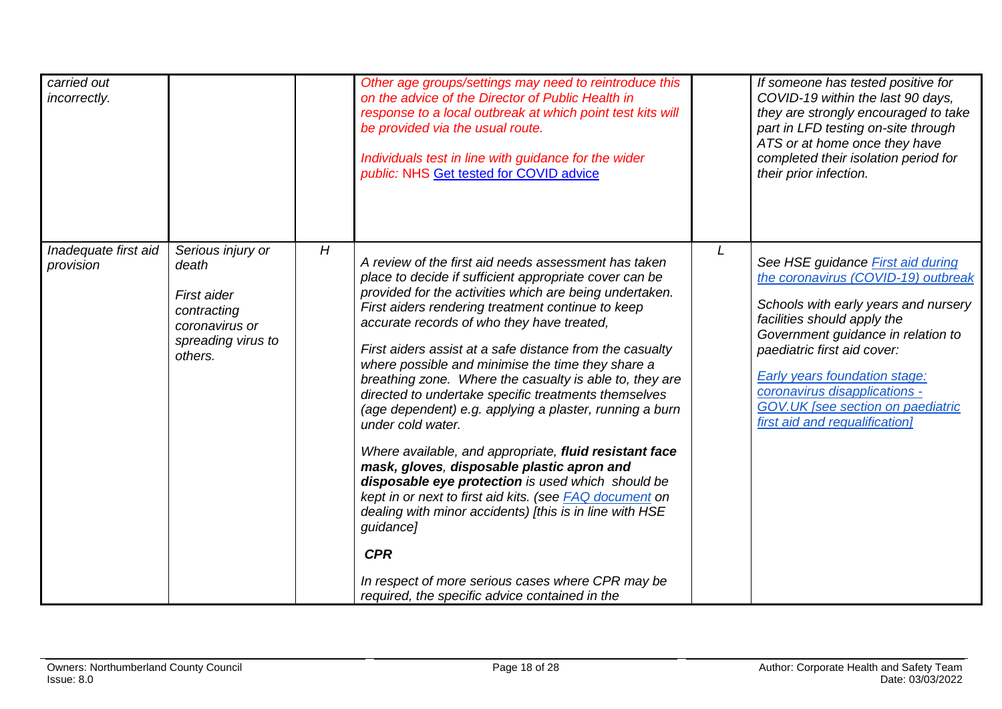| carried out<br>incorrectly.       |                                                                                                             |   | Other age groups/settings may need to reintroduce this<br>on the advice of the Director of Public Health in<br>response to a local outbreak at which point test kits will<br>be provided via the usual route.<br>Individuals test in line with guidance for the wider<br>public: NHS Get tested for COVID advice                                                                                                                                                                                                                                                                                                                                                                                                                                                                                                                                                                                                                                                                                                      |   | If someone has tested positive for<br>COVID-19 within the last 90 days,<br>they are strongly encouraged to take<br>part in LFD testing on-site through<br>ATS or at home once they have<br>completed their isolation period for<br>their prior infection.                                                                                                                   |
|-----------------------------------|-------------------------------------------------------------------------------------------------------------|---|-----------------------------------------------------------------------------------------------------------------------------------------------------------------------------------------------------------------------------------------------------------------------------------------------------------------------------------------------------------------------------------------------------------------------------------------------------------------------------------------------------------------------------------------------------------------------------------------------------------------------------------------------------------------------------------------------------------------------------------------------------------------------------------------------------------------------------------------------------------------------------------------------------------------------------------------------------------------------------------------------------------------------|---|-----------------------------------------------------------------------------------------------------------------------------------------------------------------------------------------------------------------------------------------------------------------------------------------------------------------------------------------------------------------------------|
| Inadequate first aid<br>provision | Serious injury or<br>death<br>First aider<br>contracting<br>coronavirus or<br>spreading virus to<br>others. | H | A review of the first aid needs assessment has taken<br>place to decide if sufficient appropriate cover can be<br>provided for the activities which are being undertaken.<br>First aiders rendering treatment continue to keep<br>accurate records of who they have treated,<br>First aiders assist at a safe distance from the casualty<br>where possible and minimise the time they share a<br>breathing zone. Where the casualty is able to, they are<br>directed to undertake specific treatments themselves<br>(age dependent) e.g. applying a plaster, running a burn<br>under cold water.<br>Where available, and appropriate, fluid resistant face<br>mask, gloves, disposable plastic apron and<br>disposable eye protection is used which should be<br>kept in or next to first aid kits. (see FAQ document on<br>dealing with minor accidents) [this is in line with HSE<br>guidance]<br><b>CPR</b><br>In respect of more serious cases where CPR may be<br>required, the specific advice contained in the | L | See HSE guidance <b>First aid during</b><br>the coronavirus (COVID-19) outbreak<br>Schools with early years and nursery<br>facilities should apply the<br>Government guidance in relation to<br>paediatric first aid cover:<br><b>Early years foundation stage:</b><br>coronavirus disapplications -<br>GOV.UK [see section on paediatric<br>first aid and requalification] |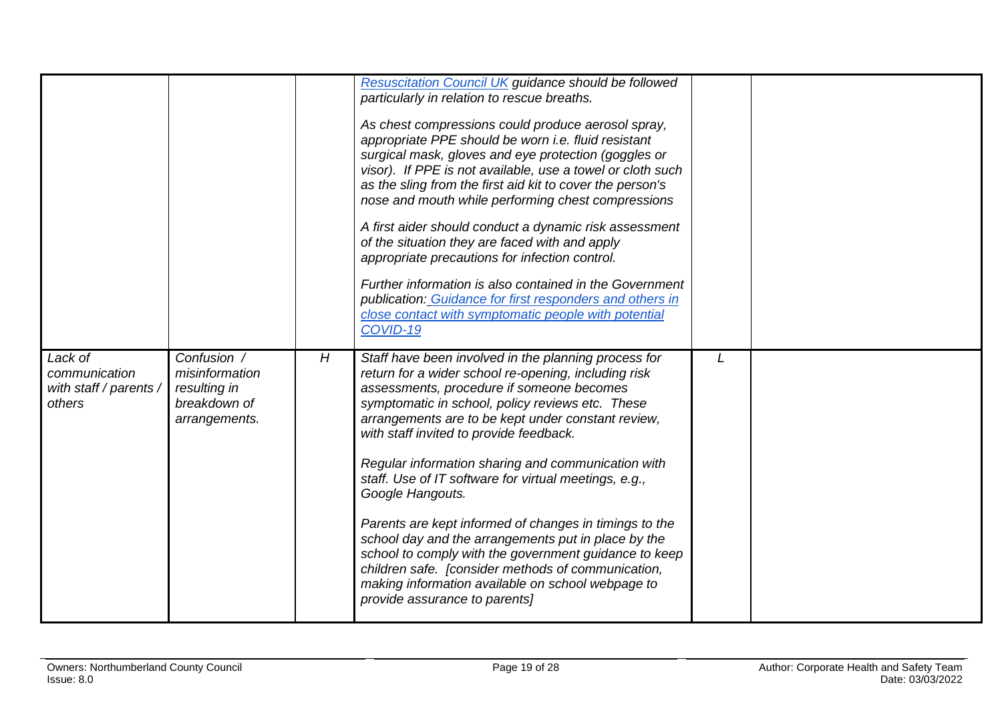|                                                              |                                                                                |   | <b>Resuscitation Council UK guidance should be followed</b>                                                                                                                                                                                                                                                                                                                                                                                                                                                                                                                                                                                                                                                                                                             |   |  |
|--------------------------------------------------------------|--------------------------------------------------------------------------------|---|-------------------------------------------------------------------------------------------------------------------------------------------------------------------------------------------------------------------------------------------------------------------------------------------------------------------------------------------------------------------------------------------------------------------------------------------------------------------------------------------------------------------------------------------------------------------------------------------------------------------------------------------------------------------------------------------------------------------------------------------------------------------------|---|--|
|                                                              |                                                                                |   | particularly in relation to rescue breaths.                                                                                                                                                                                                                                                                                                                                                                                                                                                                                                                                                                                                                                                                                                                             |   |  |
|                                                              |                                                                                |   | As chest compressions could produce aerosol spray,<br>appropriate PPE should be worn i.e. fluid resistant<br>surgical mask, gloves and eye protection (goggles or<br>visor). If PPE is not available, use a towel or cloth such<br>as the sling from the first aid kit to cover the person's<br>nose and mouth while performing chest compressions<br>A first aider should conduct a dynamic risk assessment<br>of the situation they are faced with and apply<br>appropriate precautions for infection control.<br>Further information is also contained in the Government<br>publication: Guidance for first responders and others in<br>close contact with symptomatic people with potential<br>COVID-19                                                             |   |  |
| Lack of<br>communication<br>with staff / parents /<br>others | Confusion /<br>misinformation<br>resulting in<br>breakdown of<br>arrangements. | H | Staff have been involved in the planning process for<br>return for a wider school re-opening, including risk<br>assessments, procedure if someone becomes<br>symptomatic in school, policy reviews etc. These<br>arrangements are to be kept under constant review,<br>with staff invited to provide feedback.<br>Regular information sharing and communication with<br>staff. Use of IT software for virtual meetings, e.g.,<br>Google Hangouts.<br>Parents are kept informed of changes in timings to the<br>school day and the arrangements put in place by the<br>school to comply with the government guidance to keep<br>children safe. [consider methods of communication,<br>making information available on school webpage to<br>provide assurance to parents] | L |  |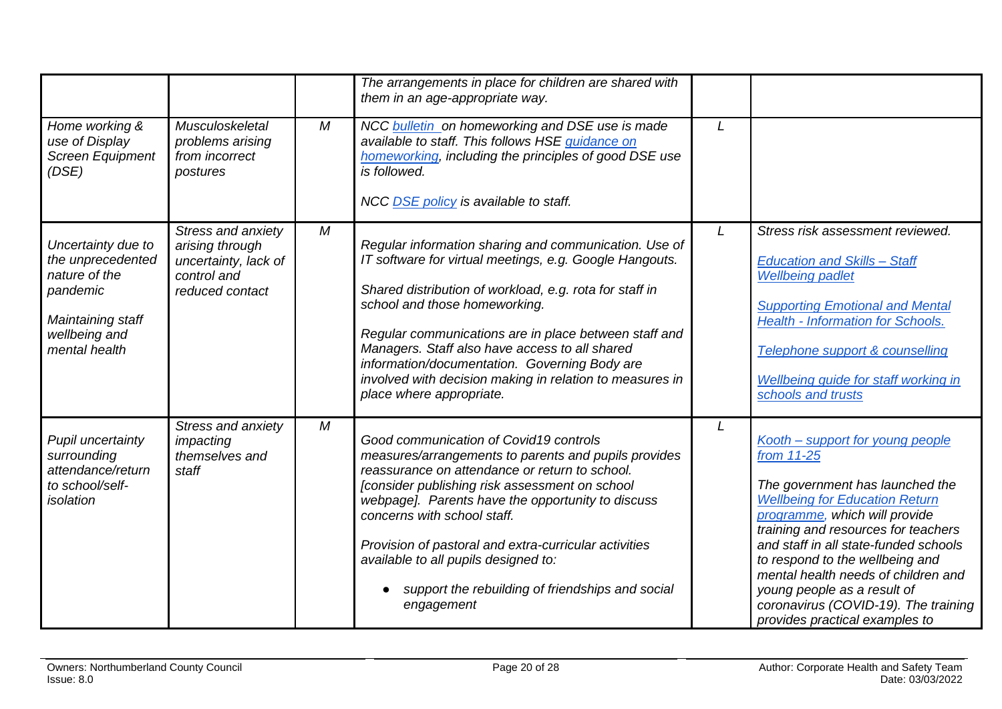|                                                                                                                             |                                                                                                 |                  | The arrangements in place for children are shared with<br>them in an age-appropriate way.                                                                                                                                                                                                                                                                                                                                                                        |              |                                                                                                                                                                                                                                                                                                                                                                                                                                |
|-----------------------------------------------------------------------------------------------------------------------------|-------------------------------------------------------------------------------------------------|------------------|------------------------------------------------------------------------------------------------------------------------------------------------------------------------------------------------------------------------------------------------------------------------------------------------------------------------------------------------------------------------------------------------------------------------------------------------------------------|--------------|--------------------------------------------------------------------------------------------------------------------------------------------------------------------------------------------------------------------------------------------------------------------------------------------------------------------------------------------------------------------------------------------------------------------------------|
| Home working &<br>use of Display<br><b>Screen Equipment</b><br>(DSE)                                                        | Musculoskeletal<br>problems arising<br>from incorrect<br>postures                               | M                | NCC bulletin on homeworking and DSE use is made<br>available to staff. This follows HSE guidance on<br>homeworking, including the principles of good DSE use<br>is followed.<br>NCC DSE policy is available to staff.                                                                                                                                                                                                                                            | L            |                                                                                                                                                                                                                                                                                                                                                                                                                                |
| Uncertainty due to<br>the unprecedented<br>nature of the<br>pandemic<br>Maintaining staff<br>wellbeing and<br>mental health | Stress and anxiety<br>arising through<br>uncertainty, lack of<br>control and<br>reduced contact | M                | Regular information sharing and communication. Use of<br>IT software for virtual meetings, e.g. Google Hangouts.<br>Shared distribution of workload, e.g. rota for staff in<br>school and those homeworking.<br>Regular communications are in place between staff and<br>Managers. Staff also have access to all shared<br>information/documentation. Governing Body are<br>involved with decision making in relation to measures in<br>place where appropriate. | $\mathsf{L}$ | Stress risk assessment reviewed.<br><b>Education and Skills - Staff</b><br><b>Wellbeing padlet</b><br><b>Supporting Emotional and Mental</b><br><b>Health - Information for Schools.</b><br>Telephone support & counselling<br>Wellbeing guide for staff working in<br>schools and trusts                                                                                                                                      |
| Pupil uncertainty<br>surrounding<br>attendance/return<br>to school/self-<br>isolation                                       | Stress and anxiety<br>impacting<br>themselves and<br>staff                                      | $\boldsymbol{M}$ | Good communication of Covid19 controls<br>measures/arrangements to parents and pupils provides<br>reassurance on attendance or return to school.<br>[consider publishing risk assessment on school<br>webpage]. Parents have the opportunity to discuss<br>concerns with school staff.<br>Provision of pastoral and extra-curricular activities<br>available to all pupils designed to:<br>support the rebuilding of friendships and social<br>engagement        | L            | Kooth - support for young people<br>from 11-25<br>The government has launched the<br><b>Wellbeing for Education Return</b><br>programme, which will provide<br>training and resources for teachers<br>and staff in all state-funded schools<br>to respond to the wellbeing and<br>mental health needs of children and<br>young people as a result of<br>coronavirus (COVID-19). The training<br>provides practical examples to |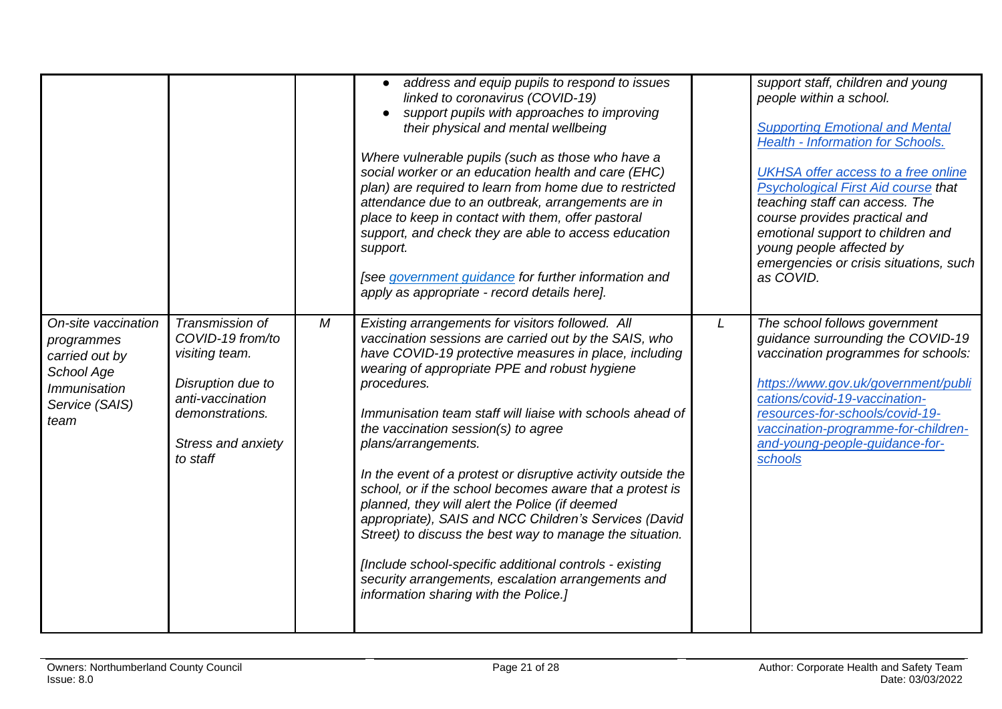<span id="page-20-0"></span>

|                                                                                                                    |                                                                                                                                                     |   | address and equip pupils to respond to issues<br>linked to coronavirus (COVID-19)<br>support pupils with approaches to improving<br>their physical and mental wellbeing<br>Where vulnerable pupils (such as those who have a<br>social worker or an education health and care (EHC)<br>plan) are required to learn from home due to restricted<br>attendance due to an outbreak, arrangements are in<br>place to keep in contact with them, offer pastoral<br>support, and check they are able to access education<br>support.<br>[see government guidance for further information and<br>apply as appropriate - record details here].                                                                                                                                                                                      |   | support staff, children and young<br>people within a school.<br><b>Supporting Emotional and Mental</b><br><b>Health - Information for Schools.</b><br><b>UKHSA offer access to a free online</b><br><b>Psychological First Aid course that</b><br>teaching staff can access. The<br>course provides practical and<br>emotional support to children and<br>young people affected by<br>emergencies or crisis situations, such<br>as COVID. |
|--------------------------------------------------------------------------------------------------------------------|-----------------------------------------------------------------------------------------------------------------------------------------------------|---|-----------------------------------------------------------------------------------------------------------------------------------------------------------------------------------------------------------------------------------------------------------------------------------------------------------------------------------------------------------------------------------------------------------------------------------------------------------------------------------------------------------------------------------------------------------------------------------------------------------------------------------------------------------------------------------------------------------------------------------------------------------------------------------------------------------------------------|---|-------------------------------------------------------------------------------------------------------------------------------------------------------------------------------------------------------------------------------------------------------------------------------------------------------------------------------------------------------------------------------------------------------------------------------------------|
| On-site vaccination<br>programmes<br>carried out by<br>School Age<br><i>Immunisation</i><br>Service (SAIS)<br>team | Transmission of<br>COVID-19 from/to<br>visiting team.<br>Disruption due to<br>anti-vaccination<br>demonstrations.<br>Stress and anxiety<br>to staff | M | Existing arrangements for visitors followed. All<br>vaccination sessions are carried out by the SAIS, who<br>have COVID-19 protective measures in place, including<br>wearing of appropriate PPE and robust hygiene<br>procedures.<br>Immunisation team staff will liaise with schools ahead of<br>the vaccination session(s) to agree<br>plans/arrangements.<br>In the event of a protest or disruptive activity outside the<br>school, or if the school becomes aware that a protest is<br>planned, they will alert the Police (if deemed<br>appropriate), SAIS and NCC Children's Services (David<br>Street) to discuss the best way to manage the situation.<br>[Include school-specific additional controls - existing]<br>security arrangements, escalation arrangements and<br>information sharing with the Police.] | L | The school follows government<br>guidance surrounding the COVID-19<br>vaccination programmes for schools:<br>https://www.gov.uk/government/publi<br>cations/covid-19-vaccination-<br>resources-for-schools/covid-19-<br>vaccination-programme-for-children-<br>and-young-people-quidance-for-<br>schools                                                                                                                                  |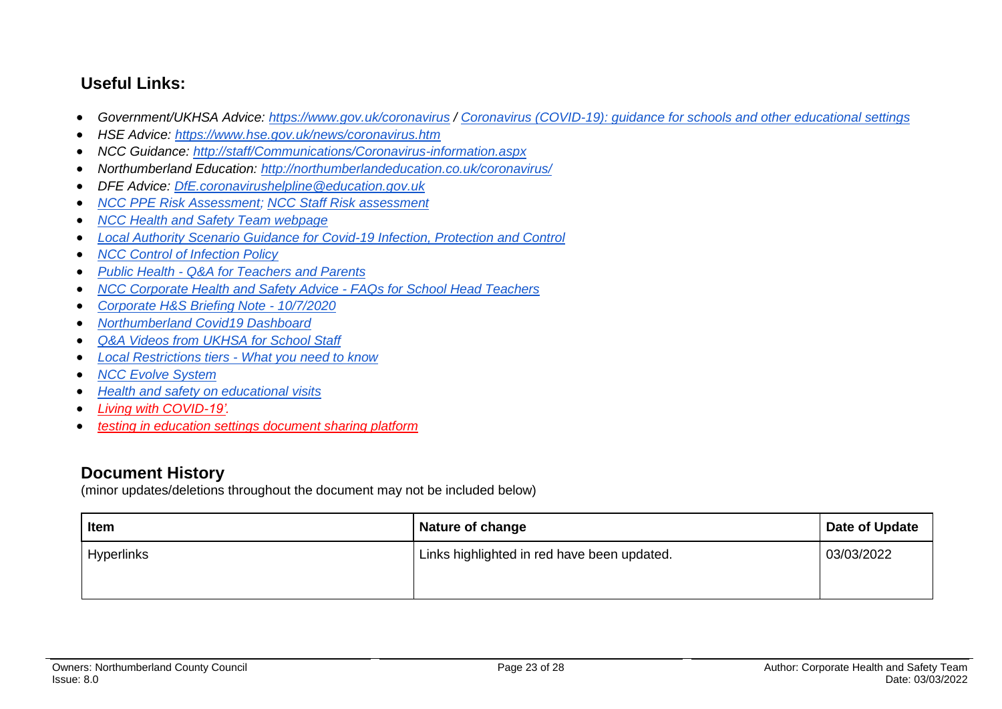## **Useful Links:**

- *Government/UKHSA Advice:<https://www.gov.uk/coronavirus> / [Coronavirus \(COVID-19\): guidance for schools and other educational settings](https://www.gov.uk/government/collections/coronavirus-covid-19-guidance-for-schools-and-other-educational-settings)*
- *HSE Advice:<https://www.hse.gov.uk/news/coronavirus.htm>*
- *NCC Guidance:<http://staff/Communications/Coronavirus-information.aspx>*
- *Northumberland Education:<http://northumberlandeducation.co.uk/coronavirus/>*
- *DFE Advice: [DfE.coronavirushelpline@education.gov.uk](mailto:DfE.coronavirushelpline@education.gov.uk)*
- *[NCC PPE Risk Assessment;](https://drive.google.com/open?id=1sUlE_jdLkBZdI43kOR6mYCzaiKlTeRzGkODE3qshrr4) [NCC Staff Risk assessment](https://docs.google.com/document/d/1GFWU1_ox_k5SlXHhDfxdwa_gNnBlCM60NNhXjr7Kf40/edit)*
- *[NCC Health and Safety Team webpage](https://www.northumberland.gov.uk/About/Staff.aspx#staffhealthsafety)*
- *[Local Authority Scenario Guidance for Covid-19 Infection, Protection and Control](https://docs.google.com/document/d/1v4ujp1l1zuF89TqDOED7T1kucMSPPyLnLQwor2CHq08/edit)*
- *[NCC Control of Infection Policy](https://www.northumberland.gov.uk/NorthumberlandCountyCouncil/media/About-the-Council/Staff%20Information/Health%20and%20safety/Policy%20Documents%20and%20Guidance/Control-of-Infection-Policy-August-2013-HR-Policy.docx)*
- *Public Health - [Q&A for Teachers and Parents](https://drive.google.com/file/d/17XV-sP7aRNuW59JxoHV6YQzh62rm1wRZ/view?usp=sharing)*
- *[NCC Corporate Health and Safety Advice -](https://northumberland365.sharepoint.com/:w:/s/StaffPortal/EZ8UvoW88aZCi74_cavsuuIBWlHIpnJFVMVn1mM_pulI3Q) FAQs for School Head Teachers*
- *[Corporate H&S Briefing Note -](https://docs.google.com/document/d/1qs4cbslP43wLz5MsoDJZ7OCTo_1AyQq76kXIc_KYhls/edit) 10/7/2020*
- *[Northumberland Covid19 Dashboard](https://public.tableau.com/profile/julian5701#!/vizhome/COVID-19inNorthumberland/Introduction)*
- *[Q&A Videos from UKHSA](https://northumberlandeducation.co.uk/qa-videos-to-help-school-staff-2/) for School Staff*
- *[Local Restrictions tiers -](https://www.gov.uk/guidance/local-restriction-tiers-what-you-need-to-know) What you need to know*
- *[NCC Evolve System](https://evolve.edufocus.co.uk/evco10/evchome_public.asp?domain=northumberlandvisits.org.uk)*
- *[Health and safety on educational visits](https://www.gov.uk/government/publications/health-and-safety-on-educational-visits/health-and-safety-on-educational-visits)*
- *[Living with COVID-19'.](https://gbr01.safelinks.protection.outlook.com/?url=https%3A%2F%2Fwww.gov.uk%2Fgovernment%2Fpublications%2Fcovid-19-response-living-with-covid-19%3Futm_source%3D24%2520February%25202022%2520C19%26utm_medium%3DDaily%2520Email%2520C19%26utm_campaign%3DDfE%2520C19&data=04%7C01%7Camanda.young%40northumberland.gov.uk%7Cc9a58d3c39634196a28c08d9f7a7b703%7Cbb13a9de829042f0a980dc3bdfe70f40%7C0%7C0%7C637813121968899616%7CUnknown%7CTWFpbGZsb3d8eyJWIjoiMC4wLjAwMDAiLCJQIjoiV2luMzIiLCJBTiI6Ik1haWwiLCJXVCI6Mn0%3D%7C3000&sdata=rE6WYoaFvmXqgnu%2Fsr3mkg39qkFr0%2B1N1jmYpfck6oI%3D&reserved=0)*
- *[testing in education settings document sharing platform](https://gbr01.safelinks.protection.outlook.com/?url=https%3A%2F%2Fdrive.google.com%2Fdrive%2Ffolders%2F1euurg-X9V9fy-PAa3HAok_6Hf0rXmMCW&data=04%7C01%7Camanda.young%40northumberland.gov.uk%7Cc9a58d3c39634196a28c08d9f7a7b703%7Cbb13a9de829042f0a980dc3bdfe70f40%7C0%7C0%7C637813121968899616%7CUnknown%7CTWFpbGZsb3d8eyJWIjoiMC4wLjAwMDAiLCJQIjoiV2luMzIiLCJBTiI6Ik1haWwiLCJXVCI6Mn0%3D%7C3000&sdata=%2B9djTb1BVw9qkSJCE%2F8llcAYi%2F9uSeEDndi%2B3fjZXpI%3D&reserved=0)*

## **Document History**

(minor updates/deletions throughout the document may not be included below)

| <b>Item</b> | Nature of change                            | Date of Update |
|-------------|---------------------------------------------|----------------|
| Hyperlinks  | Links highlighted in red have been updated. | 03/03/2022     |
|             |                                             |                |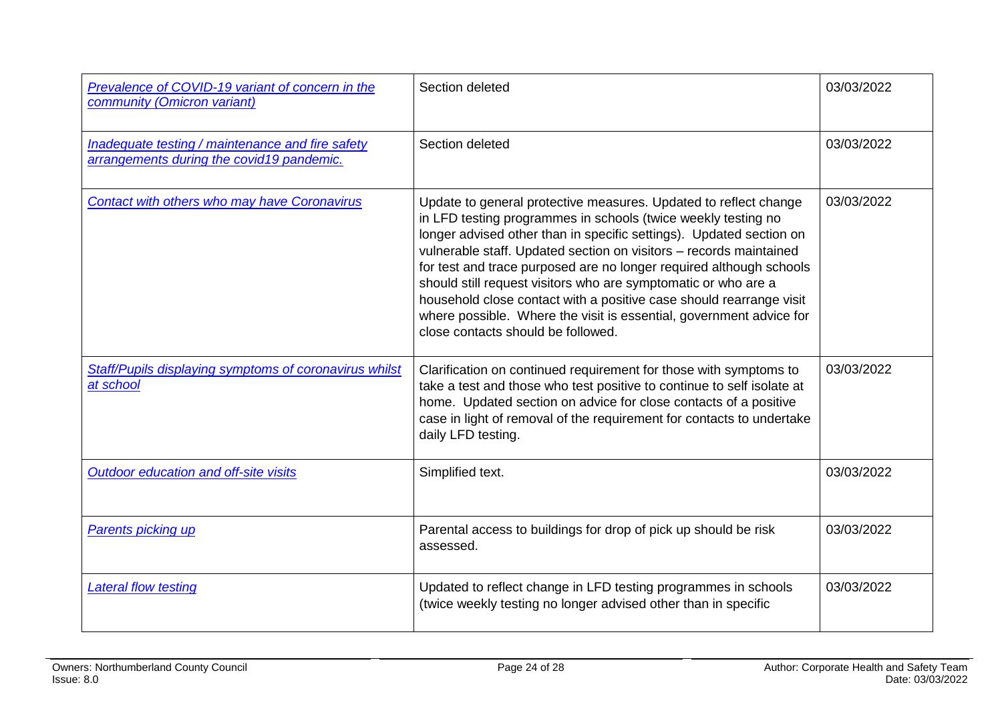| Prevalence of COVID-19 variant of concern in the<br>community (Omicron variant)               | Section deleted                                                                                                                                                                                                                                                                                                                                                                                                                                                                                                                                                                                             | 03/03/2022 |
|-----------------------------------------------------------------------------------------------|-------------------------------------------------------------------------------------------------------------------------------------------------------------------------------------------------------------------------------------------------------------------------------------------------------------------------------------------------------------------------------------------------------------------------------------------------------------------------------------------------------------------------------------------------------------------------------------------------------------|------------|
| Inadequate testing / maintenance and fire safety<br>arrangements during the covid19 pandemic. | Section deleted                                                                                                                                                                                                                                                                                                                                                                                                                                                                                                                                                                                             | 03/03/2022 |
| <b>Contact with others who may have Coronavirus</b>                                           | Update to general protective measures. Updated to reflect change<br>in LFD testing programmes in schools (twice weekly testing no<br>longer advised other than in specific settings). Updated section on<br>vulnerable staff. Updated section on visitors - records maintained<br>for test and trace purposed are no longer required although schools<br>should still request visitors who are symptomatic or who are a<br>household close contact with a positive case should rearrange visit<br>where possible. Where the visit is essential, government advice for<br>close contacts should be followed. | 03/03/2022 |
| Staff/Pupils displaying symptoms of coronavirus whilst<br>at school                           | Clarification on continued requirement for those with symptoms to<br>take a test and those who test positive to continue to self isolate at<br>home. Updated section on advice for close contacts of a positive<br>case in light of removal of the requirement for contacts to undertake<br>daily LFD testing.                                                                                                                                                                                                                                                                                              | 03/03/2022 |
| Outdoor education and off-site visits                                                         | Simplified text.                                                                                                                                                                                                                                                                                                                                                                                                                                                                                                                                                                                            | 03/03/2022 |
| <b>Parents picking up</b>                                                                     | Parental access to buildings for drop of pick up should be risk<br>assessed.                                                                                                                                                                                                                                                                                                                                                                                                                                                                                                                                | 03/03/2022 |
| <b>Lateral flow testing</b>                                                                   | Updated to reflect change in LFD testing programmes in schools<br>(twice weekly testing no longer advised other than in specific                                                                                                                                                                                                                                                                                                                                                                                                                                                                            | 03/03/2022 |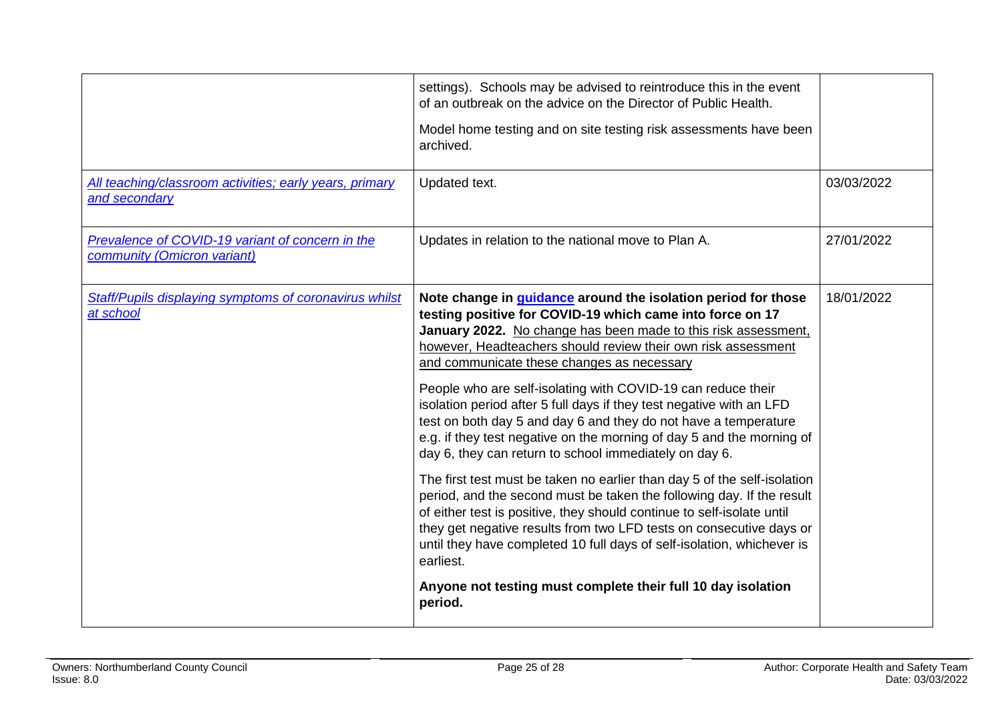| All teaching/classroom activities; early years, primary<br>and secondary        | settings). Schools may be advised to reintroduce this in the event<br>of an outbreak on the advice on the Director of Public Health.<br>Model home testing and on site testing risk assessments have been<br>archived.<br>Updated text.                                                                                                                                                                                                                                                                                                                                                                                                                                                                                                                                                                                                                                                                                                                                                                                                                                                                                           | 03/03/2022 |
|---------------------------------------------------------------------------------|-----------------------------------------------------------------------------------------------------------------------------------------------------------------------------------------------------------------------------------------------------------------------------------------------------------------------------------------------------------------------------------------------------------------------------------------------------------------------------------------------------------------------------------------------------------------------------------------------------------------------------------------------------------------------------------------------------------------------------------------------------------------------------------------------------------------------------------------------------------------------------------------------------------------------------------------------------------------------------------------------------------------------------------------------------------------------------------------------------------------------------------|------------|
| Prevalence of COVID-19 variant of concern in the<br>community (Omicron variant) | Updates in relation to the national move to Plan A.                                                                                                                                                                                                                                                                                                                                                                                                                                                                                                                                                                                                                                                                                                                                                                                                                                                                                                                                                                                                                                                                               | 27/01/2022 |
| Staff/Pupils displaying symptoms of coronavirus whilst<br>at school             | Note change in guidance around the isolation period for those<br>testing positive for COVID-19 which came into force on 17<br>January 2022. No change has been made to this risk assessment.<br>however, Headteachers should review their own risk assessment<br>and communicate these changes as necessary<br>People who are self-isolating with COVID-19 can reduce their<br>isolation period after 5 full days if they test negative with an LFD<br>test on both day 5 and day 6 and they do not have a temperature<br>e.g. if they test negative on the morning of day 5 and the morning of<br>day 6, they can return to school immediately on day 6.<br>The first test must be taken no earlier than day 5 of the self-isolation<br>period, and the second must be taken the following day. If the result<br>of either test is positive, they should continue to self-isolate until<br>they get negative results from two LFD tests on consecutive days or<br>until they have completed 10 full days of self-isolation, whichever is<br>earliest.<br>Anyone not testing must complete their full 10 day isolation<br>period. | 18/01/2022 |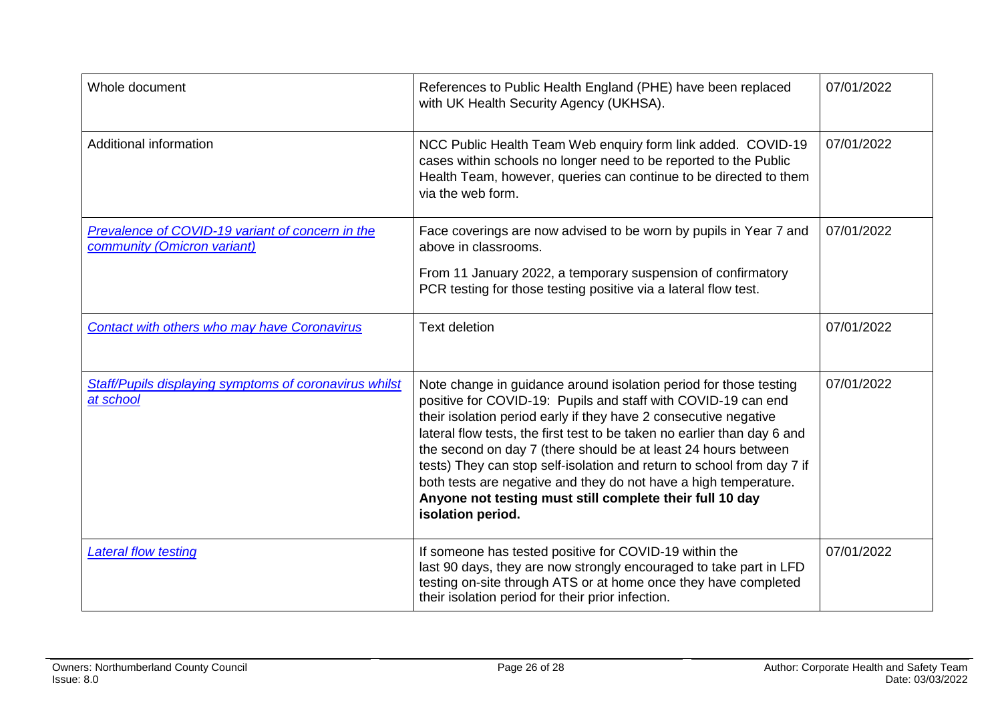| Whole document                                                                  | References to Public Health England (PHE) have been replaced<br>with UK Health Security Agency (UKHSA).                                                                                                                                                                                                                                                                                                                                                                                                                                                                             | 07/01/2022 |
|---------------------------------------------------------------------------------|-------------------------------------------------------------------------------------------------------------------------------------------------------------------------------------------------------------------------------------------------------------------------------------------------------------------------------------------------------------------------------------------------------------------------------------------------------------------------------------------------------------------------------------------------------------------------------------|------------|
| <b>Additional information</b>                                                   | NCC Public Health Team Web enquiry form link added. COVID-19<br>cases within schools no longer need to be reported to the Public<br>Health Team, however, queries can continue to be directed to them<br>via the web form.                                                                                                                                                                                                                                                                                                                                                          | 07/01/2022 |
| Prevalence of COVID-19 variant of concern in the<br>community (Omicron variant) | Face coverings are now advised to be worn by pupils in Year 7 and<br>above in classrooms.                                                                                                                                                                                                                                                                                                                                                                                                                                                                                           | 07/01/2022 |
|                                                                                 | From 11 January 2022, a temporary suspension of confirmatory<br>PCR testing for those testing positive via a lateral flow test.                                                                                                                                                                                                                                                                                                                                                                                                                                                     |            |
| <b>Contact with others who may have Coronavirus</b>                             | <b>Text deletion</b>                                                                                                                                                                                                                                                                                                                                                                                                                                                                                                                                                                | 07/01/2022 |
| Staff/Pupils displaying symptoms of coronavirus whilst<br>at school             | Note change in guidance around isolation period for those testing<br>positive for COVID-19: Pupils and staff with COVID-19 can end<br>their isolation period early if they have 2 consecutive negative<br>lateral flow tests, the first test to be taken no earlier than day 6 and<br>the second on day 7 (there should be at least 24 hours between<br>tests) They can stop self-isolation and return to school from day 7 if<br>both tests are negative and they do not have a high temperature.<br>Anyone not testing must still complete their full 10 day<br>isolation period. | 07/01/2022 |
| <b>Lateral flow testing</b>                                                     | If someone has tested positive for COVID-19 within the<br>last 90 days, they are now strongly encouraged to take part in LFD<br>testing on-site through ATS or at home once they have completed<br>their isolation period for their prior infection.                                                                                                                                                                                                                                                                                                                                | 07/01/2022 |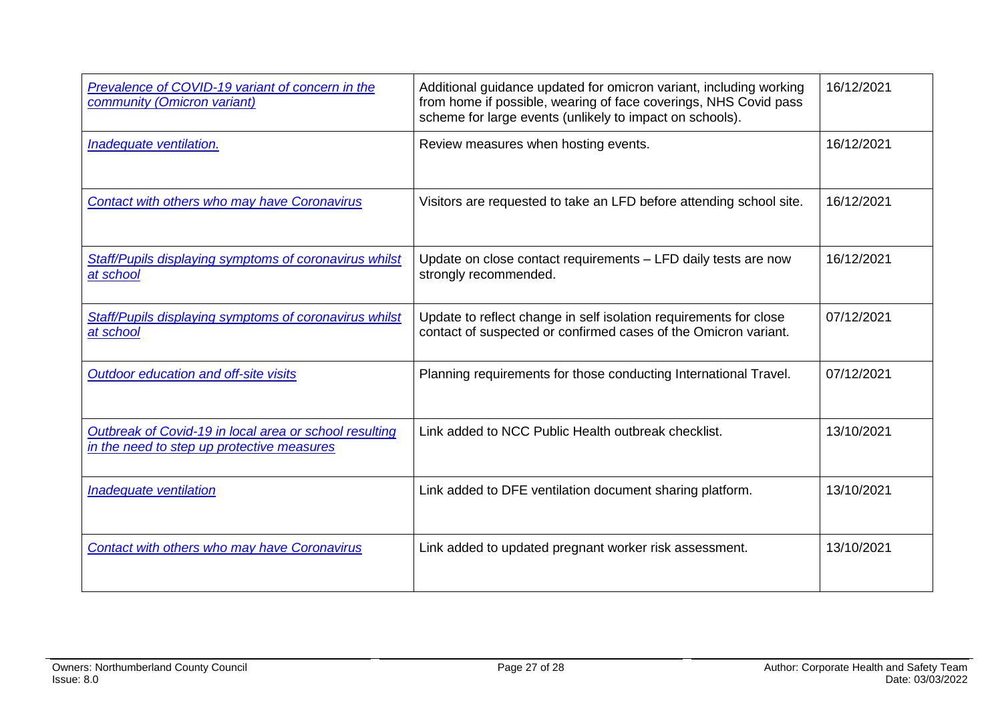| Prevalence of COVID-19 variant of concern in the<br>community (Omicron variant)                      | Additional guidance updated for omicron variant, including working<br>from home if possible, wearing of face coverings, NHS Covid pass<br>scheme for large events (unlikely to impact on schools). | 16/12/2021 |
|------------------------------------------------------------------------------------------------------|----------------------------------------------------------------------------------------------------------------------------------------------------------------------------------------------------|------------|
| Inadequate ventilation.                                                                              | Review measures when hosting events.                                                                                                                                                               | 16/12/2021 |
| <b>Contact with others who may have Coronavirus</b>                                                  | Visitors are requested to take an LFD before attending school site.                                                                                                                                | 16/12/2021 |
| <b>Staff/Pupils displaying symptoms of coronavirus whilst</b><br>at school                           | Update on close contact requirements - LFD daily tests are now<br>strongly recommended.                                                                                                            | 16/12/2021 |
| Staff/Pupils displaying symptoms of coronavirus whilst<br>at school                                  | Update to reflect change in self isolation requirements for close<br>contact of suspected or confirmed cases of the Omicron variant.                                                               | 07/12/2021 |
| Outdoor education and off-site visits                                                                | Planning requirements for those conducting International Travel.                                                                                                                                   | 07/12/2021 |
| Outbreak of Covid-19 in local area or school resulting<br>in the need to step up protective measures | Link added to NCC Public Health outbreak checklist.                                                                                                                                                | 13/10/2021 |
| Inadequate ventilation                                                                               | Link added to DFE ventilation document sharing platform.                                                                                                                                           | 13/10/2021 |
| Contact with others who may have Coronavirus                                                         | Link added to updated pregnant worker risk assessment.                                                                                                                                             | 13/10/2021 |